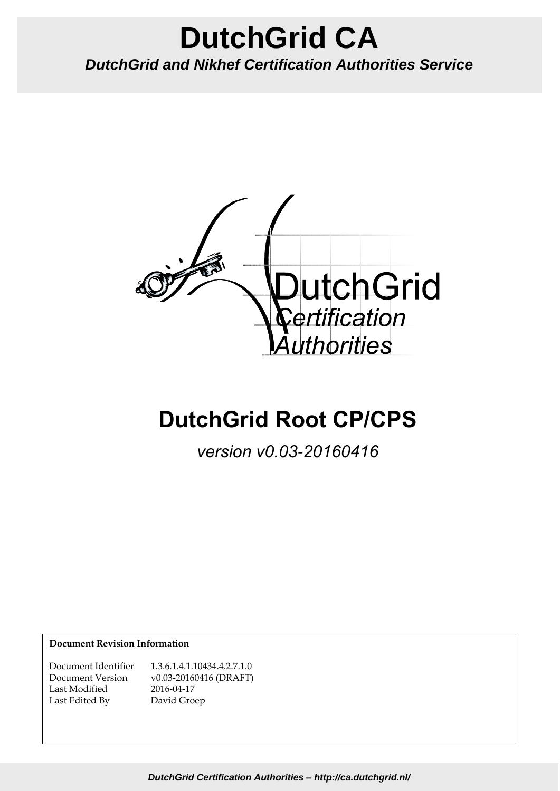# **DutchGrid CA** *DutchGrid and Nikhef Certification Authorities Service*



# **DutchGrid Root CP/CPS**

*version v0.03-20160416*

**Document Revision Information**

Document Identifier 1.3.6.1.4.1.10434.4.2.7.1.0 Document Version v0.03-20160416 (DRAFT) Last Modified 2016-04-17 Last Edited By David Groep

*DutchGrid Certification Authorities – http://ca.dutchgrid.nl/*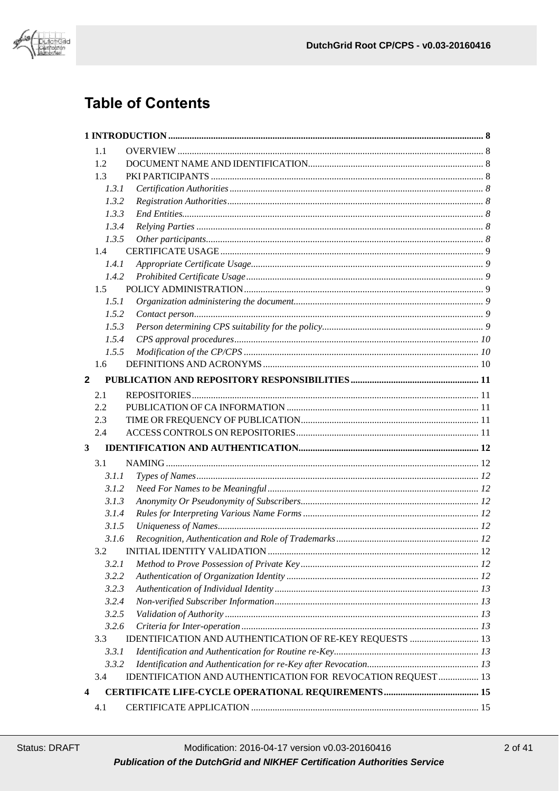

# **Table of Contents**

| 1.1                     |                                                              |  |
|-------------------------|--------------------------------------------------------------|--|
| 1.2                     |                                                              |  |
| 1.3                     |                                                              |  |
| 1.3.1                   |                                                              |  |
| 1.3.2                   |                                                              |  |
| 1.3.3                   |                                                              |  |
| 1.3.4                   |                                                              |  |
| 1.3.5                   |                                                              |  |
| 1.4                     |                                                              |  |
| 1.4.1                   |                                                              |  |
| 1.4.2                   |                                                              |  |
| $1.5 -$                 |                                                              |  |
| 1.5.1                   |                                                              |  |
| 1.5.2                   |                                                              |  |
| 1.5.3                   |                                                              |  |
| 1.5.4                   |                                                              |  |
| 1.5.5                   |                                                              |  |
| 1.6                     |                                                              |  |
| $\overline{2}$          |                                                              |  |
| 2.1                     |                                                              |  |
| 2.2                     |                                                              |  |
| 2.3                     |                                                              |  |
| 2.4                     |                                                              |  |
| $\mathbf{3}$            |                                                              |  |
|                         |                                                              |  |
| 3.1                     |                                                              |  |
| 3.1.1                   |                                                              |  |
| 3.1.2                   |                                                              |  |
| 3.1.3                   |                                                              |  |
| 3.1.4                   |                                                              |  |
| 3.1.5                   |                                                              |  |
| 3.1.6                   |                                                              |  |
| 3.2                     |                                                              |  |
| 3.2.1                   |                                                              |  |
| 3.2.2                   |                                                              |  |
| 3.2.3                   |                                                              |  |
| 3.2.4                   |                                                              |  |
| 3.2.5                   |                                                              |  |
| 3.2.6                   |                                                              |  |
| 3.3                     | IDENTIFICATION AND AUTHENTICATION OF RE-KEY REQUESTS  13     |  |
| 3.3.1                   |                                                              |  |
| 3.3.2                   |                                                              |  |
| 3.4                     | IDENTIFICATION AND AUTHENTICATION FOR REVOCATION REQUEST  13 |  |
| $\overline{\mathbf{4}}$ |                                                              |  |
| 4.1                     |                                                              |  |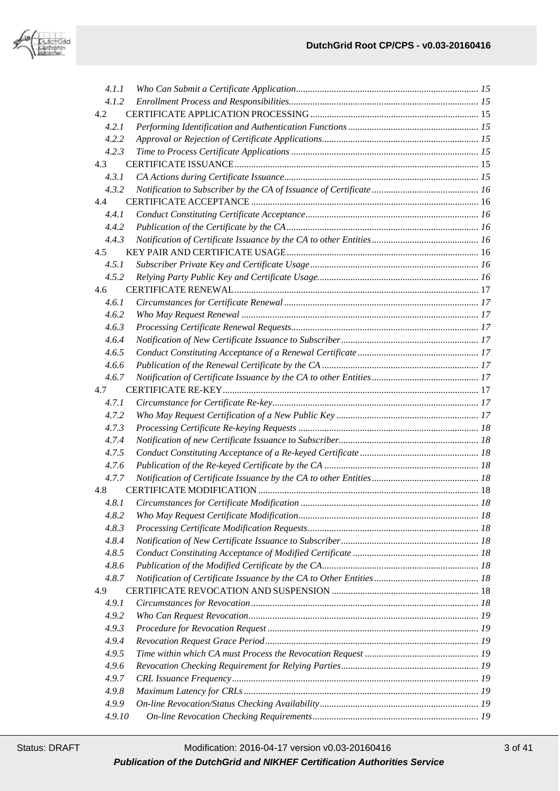

| 4.1.1  |  |
|--------|--|
| 4.1.2  |  |
| 4.2    |  |
| 4.2.1  |  |
| 4.2.2  |  |
| 4.2.3  |  |
| 4.3    |  |
| 4.3.1  |  |
| 4.3.2  |  |
| 4.4    |  |
| 4.4.1  |  |
| 4.4.2  |  |
| 4.4.3  |  |
| 4.5    |  |
| 4.5.1  |  |
| 4.5.2  |  |
| 4.6    |  |
| 4.6.1  |  |
| 4.6.2  |  |
| 4.6.3  |  |
| 4.6.4  |  |
| 4.6.5  |  |
| 4.6.6  |  |
| 4.6.7  |  |
| 4.7    |  |
| 4.7.1  |  |
| 4.7.2  |  |
| 4.7.3  |  |
| 4.7.4  |  |
|        |  |
| 4.7.5  |  |
| 4.7.6  |  |
| 4.7.7  |  |
| 4.8    |  |
| 4.8.1  |  |
| 4.8.2  |  |
| 4.8.3  |  |
| 4.8.4  |  |
| 4.8.5  |  |
| 4.8.6  |  |
| 4.8.7  |  |
| 4.9    |  |
| 4.9.1  |  |
| 4.9.2  |  |
| 4.9.3  |  |
| 4.9.4  |  |
| 4.9.5  |  |
| 4.9.6  |  |
| 4.9.7  |  |
| 4.9.8  |  |
| 4.9.9  |  |
| 4.9.10 |  |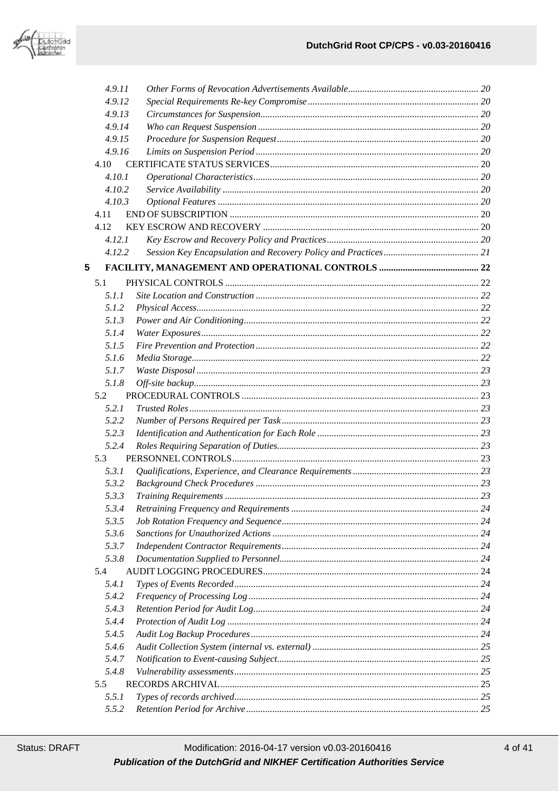

| 4.9.11 |  |
|--------|--|
| 4.9.12 |  |
| 4.9.13 |  |
| 4.9.14 |  |
| 4.9.15 |  |
| 4.9.16 |  |
| 4.10   |  |
| 4.10.1 |  |
| 4.10.2 |  |
| 4.10.3 |  |
| 4.11   |  |
| 4.12   |  |
| 4.12.1 |  |
| 4.12.2 |  |
| 5      |  |
| 5.1    |  |
|        |  |
| 5.1.1  |  |
| 5.1.2  |  |
| 5.1.3  |  |
| 5.1.4  |  |
| 5.1.5  |  |
| 5.1.6  |  |
| 5.1.7  |  |
| 5.1.8  |  |
| 5.2    |  |
| 5.2.1  |  |
| 5.2.2  |  |
| 5.2.3  |  |
| 5.2.4  |  |
| 5.3    |  |
| 5.3.1  |  |
| 5.3.2  |  |
| 5.3.3  |  |
| 5.3.4  |  |
| 5.3.5  |  |
| 5.3.6  |  |
| 5.3.7  |  |
| 5.3.8  |  |
| 5.4    |  |
| 5.4.1  |  |
| 5.4.2  |  |
| 5.4.3  |  |
| 5.4.4  |  |
| 5.4.5  |  |
| 5.4.6  |  |
| 5.4.7  |  |
| 5.4.8  |  |
| 5.5    |  |
| 5.5.1  |  |
| 5.5.2  |  |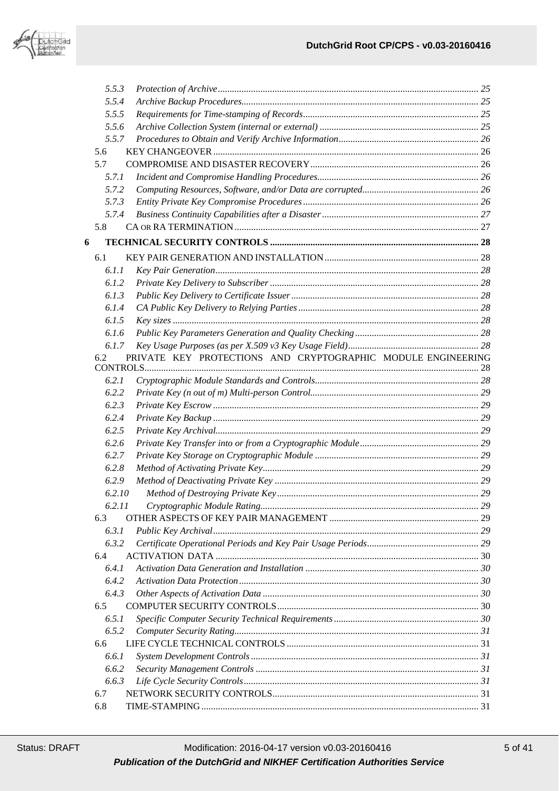

|   | 5.5.3  |                                                              |  |
|---|--------|--------------------------------------------------------------|--|
|   | 5.5.4  |                                                              |  |
|   | 5.5.5  |                                                              |  |
|   | 5.5.6  |                                                              |  |
|   | 5.5.7  |                                                              |  |
|   | 5.6    |                                                              |  |
|   | 5.7    |                                                              |  |
|   | 5.7.1  |                                                              |  |
|   | 5.7.2  |                                                              |  |
|   | 5.7.3  |                                                              |  |
|   | 5.7.4  |                                                              |  |
|   | 5.8    |                                                              |  |
| 6 |        |                                                              |  |
|   | 6.1    |                                                              |  |
|   | 6.1.1  |                                                              |  |
|   | 6.1.2  |                                                              |  |
|   | 6.1.3  |                                                              |  |
|   | 6.1.4  |                                                              |  |
|   | 6.1.5  |                                                              |  |
|   | 6.1.6  |                                                              |  |
|   | 6.1.7  |                                                              |  |
|   | 6.2    | PRIVATE KEY PROTECTIONS AND CRYPTOGRAPHIC MODULE ENGINEERING |  |
|   |        |                                                              |  |
|   | 6.2.1  |                                                              |  |
|   | 6.2.2  |                                                              |  |
|   | 6.2.3  |                                                              |  |
|   | 6.2.4  |                                                              |  |
|   | 6.2.5  |                                                              |  |
|   | 6.2.6  |                                                              |  |
|   | 6.2.7  |                                                              |  |
|   | 6.2.8  |                                                              |  |
|   | 6.2.9  |                                                              |  |
|   | 6.2.10 |                                                              |  |
|   | 6.2.11 |                                                              |  |
|   | 6.3    |                                                              |  |
|   | 6.3.1  |                                                              |  |
|   | 6.3.2  |                                                              |  |
|   | 6.4    |                                                              |  |
|   | 6.4.1  |                                                              |  |
|   | 6.4.2  |                                                              |  |
|   | 6.4.3  |                                                              |  |
|   | 6.5    |                                                              |  |
|   | 6.5.1  |                                                              |  |
|   | 6.5.2  |                                                              |  |
|   | 6.6    |                                                              |  |
|   | 6.6.1  |                                                              |  |
|   | 6.6.2  |                                                              |  |
|   | 6.6.3  |                                                              |  |
|   | 6.7    |                                                              |  |
|   | 6.8    |                                                              |  |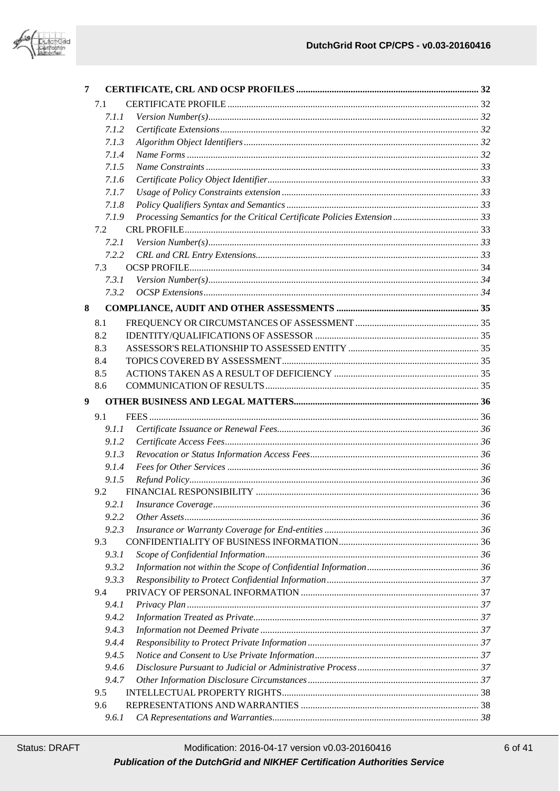

| 7 |              |                                       |    |
|---|--------------|---------------------------------------|----|
|   | 7.1          |                                       |    |
|   | 7.1.1        |                                       |    |
|   | 7.1.2        |                                       |    |
|   | 7.1.3        |                                       |    |
|   | 7.1.4        |                                       |    |
|   | 7.1.5        |                                       |    |
|   | 7.1.6        |                                       |    |
|   | 7.1.7        |                                       |    |
|   | 7.1.8        |                                       |    |
|   | 7.1.9        |                                       |    |
|   | 7.2          |                                       |    |
|   | 7.2.1        |                                       |    |
|   | 7.2.2        |                                       |    |
|   | 7.3          |                                       |    |
|   | 7.3.1        |                                       |    |
|   | 7.3.2        |                                       |    |
| 8 |              |                                       |    |
|   | 8.1          |                                       |    |
|   | 8.2          |                                       |    |
|   | 8.3          |                                       |    |
|   | 8.4          |                                       |    |
|   | 8.5          |                                       |    |
|   | 8.6          |                                       |    |
| 9 |              |                                       |    |
|   |              |                                       |    |
|   | 9.1          |                                       |    |
|   | 9.1.1        |                                       |    |
|   | 9.1.2        |                                       |    |
|   | 9.1.3        |                                       |    |
|   | 9.1.4        |                                       |    |
|   | 9.1.5        |                                       |    |
|   | 9.2          |                                       |    |
|   |              |                                       |    |
|   | 9.2.2        |                                       |    |
|   | 9.2.3        |                                       |    |
|   | 9.3          |                                       |    |
|   | 9.3.1        |                                       |    |
|   | 9.3.2        |                                       |    |
|   | 9.3.3        |                                       |    |
|   | 9.4<br>9.4.1 |                                       |    |
|   | 9.4.2        |                                       |    |
|   | 9.4.3        |                                       |    |
|   | 9.4.4        |                                       |    |
|   | 9.4.5        |                                       |    |
|   | 9.4.6        |                                       |    |
|   | 9.4.7        |                                       |    |
|   | 9.5          |                                       |    |
|   | 9.6          | 961 CA Representations and Warranties | 38 |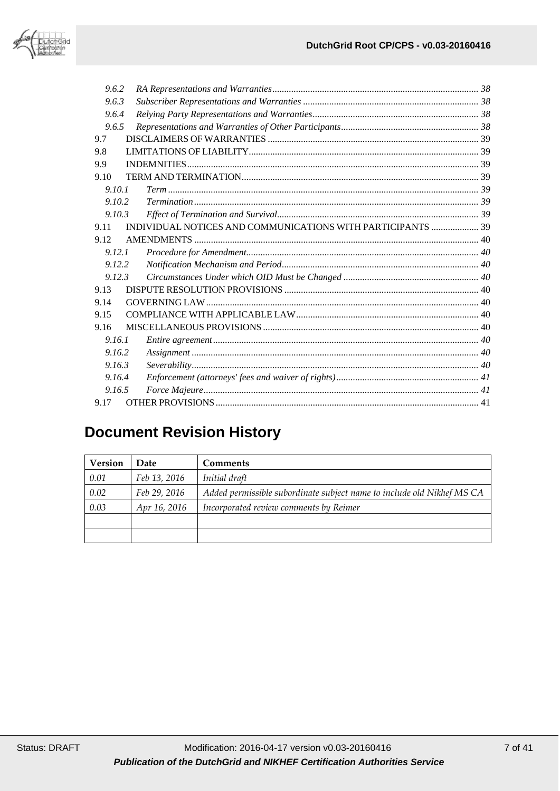

| 9.6.2  |                                                             |  |
|--------|-------------------------------------------------------------|--|
| 9.6.3  |                                                             |  |
| 9.6.4  |                                                             |  |
| 9.6.5  |                                                             |  |
| 9.7    |                                                             |  |
| 9.8    |                                                             |  |
| 9.9    |                                                             |  |
| 9.10   |                                                             |  |
| 9.10.1 |                                                             |  |
| 9.10.2 |                                                             |  |
| 9.10.3 |                                                             |  |
| 9.11   | INDIVIDUAL NOTICES AND COMMUNICATIONS WITH PARTICIPANTS  39 |  |
| 9.12   |                                                             |  |
| 9.12.1 |                                                             |  |
| 9.12.2 |                                                             |  |
| 9.12.3 |                                                             |  |
| 9.13   |                                                             |  |
| 9.14   |                                                             |  |
| 9.15   |                                                             |  |
| 9.16   |                                                             |  |
| 9.16.1 |                                                             |  |
| 9.16.2 |                                                             |  |
| 9.16.3 |                                                             |  |
| 9.16.4 |                                                             |  |
| 9.16.5 |                                                             |  |
| 9.17   |                                                             |  |

# **Document Revision History**

| <b>Version</b> | Date         | <b>Comments</b>                                                        |
|----------------|--------------|------------------------------------------------------------------------|
| 0.01           | Feb 13, 2016 | Initial draft                                                          |
| 0.02           | Feb 29, 2016 | Added permissible subordinate subject name to include old Nikhef MS CA |
| 0.03           | Apr 16, 2016 | Incorporated review comments by Reimer                                 |
|                |              |                                                                        |
|                |              |                                                                        |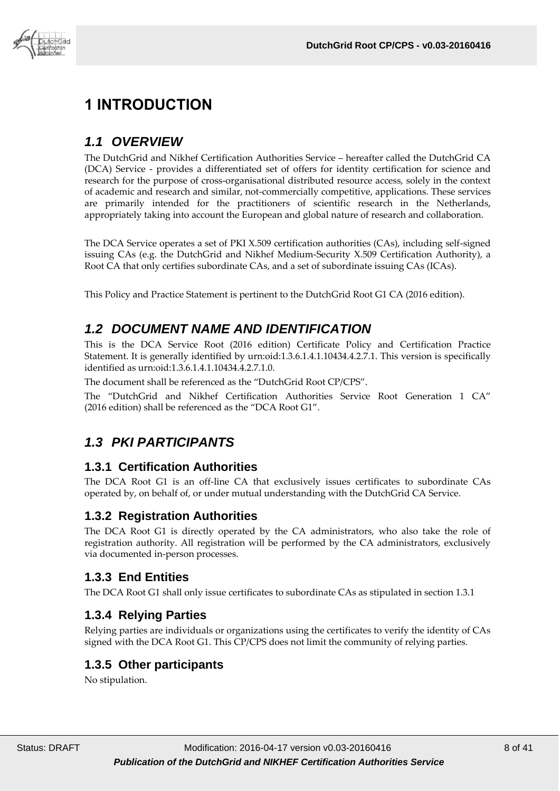

# <span id="page-7-0"></span>**1 INTRODUCTION**

# <span id="page-7-1"></span>*1.1 OVERVIEW*

The DutchGrid and Nikhef Certification Authorities Service – hereafter called the DutchGrid CA (DCA) Service - provides a differentiated set of offers for identity certification for science and research for the purpose of cross-organisational distributed resource access, solely in the context of academic and research and similar, not-commercially competitive, applications. These services are primarily intended for the practitioners of scientific research in the Netherlands, appropriately taking into account the European and global nature of research and collaboration.

The DCA Service operates a set of PKI X.509 certification authorities (CAs), including self-signed issuing CAs (e.g. the DutchGrid and Nikhef Medium-Security X.509 Certification Authority), a Root CA that only certifies subordinate CAs, and a set of subordinate issuing CAs (ICAs).

<span id="page-7-2"></span>This Policy and Practice Statement is pertinent to the DutchGrid Root G1 CA (2016 edition).

# *1.2 DOCUMENT NAME AND IDENTIFICATION*

This is the DCA Service Root (2016 edition) Certificate Policy and Certification Practice Statement. It is generally identified by urn:oid:1.3.6.1.4.1.10434.4.2.7.1. This version is specifically identified as urn:oid:1.3.6.1.4.1.10434.4.2.7.1.0.

The document shall be referenced as the "DutchGrid Root CP/CPS".

The "DutchGrid and Nikhef Certification Authorities Service Root Generation 1 CA" (2016 edition) shall be referenced as the "DCA Root G1".

# <span id="page-7-3"></span>*1.3 PKI PARTICIPANTS*

#### <span id="page-7-4"></span>**1.3.1 Certification Authorities**

The DCA Root G1 is an off-line CA that exclusively issues certificates to subordinate CAs operated by, on behalf of, or under mutual understanding with the DutchGrid CA Service.

#### <span id="page-7-5"></span>**1.3.2 Registration Authorities**

The DCA Root G1 is directly operated by the CA administrators, who also take the role of registration authority. All registration will be performed by the CA administrators, exclusively via documented in-person processes.

#### <span id="page-7-6"></span>**1.3.3 End Entities**

The DCA Root G1 shall only issue certificates to subordinate CAs as stipulated in section 1.3.1

#### <span id="page-7-7"></span>**1.3.4 Relying Parties**

Relying parties are individuals or organizations using the certificates to verify the identity of CAs signed with the DCA Root G1. This CP/CPS does not limit the community of relying parties.

#### <span id="page-7-8"></span>**1.3.5 Other participants**

No stipulation.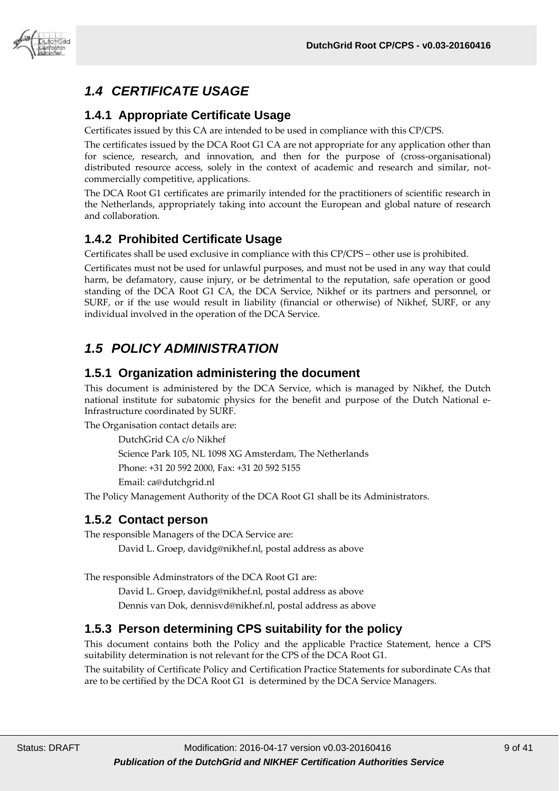

# <span id="page-8-0"></span>*1.4 CERTIFICATE USAGE*

#### <span id="page-8-1"></span>**1.4.1 Appropriate Certificate Usage**

Certificates issued by this CA are intended to be used in compliance with this CP/CPS.

The certificates issued by the DCA Root G1 CA are not appropriate for any application other than for science, research, and innovation, and then for the purpose of (cross-organisational) distributed resource access, solely in the context of academic and research and similar, notcommercially competitive, applications.

The DCA Root G1 certificates are primarily intended for the practitioners of scientific research in the Netherlands, appropriately taking into account the European and global nature of research and collaboration.

#### <span id="page-8-2"></span>**1.4.2 Prohibited Certificate Usage**

Certificates shall be used exclusive in compliance with this CP/CPS – other use is prohibited.

Certificates must not be used for unlawful purposes, and must not be used in any way that could harm, be defamatory, cause injury, or be detrimental to the reputation, safe operation or good standing of the DCA Root G1 CA, the DCA Service, Nikhef or its partners and personnel, or SURF, or if the use would result in liability (financial or otherwise) of Nikhef, SURF, or any individual involved in the operation of the DCA Service.

# <span id="page-8-3"></span>*1.5 POLICY ADMINISTRATION*

#### <span id="page-8-4"></span>**1.5.1 Organization administering the document**

This document is administered by the DCA Service, which is managed by Nikhef, the Dutch national institute for subatomic physics for the benefit and purpose of the Dutch National e-Infrastructure coordinated by SURF.

The Organisation contact details are:

DutchGrid CA c/o Nikhef Science Park 105, NL 1098 XG Amsterdam, The Netherlands Phone: +31 20 592 2000, Fax: +31 20 592 5155 Email: ca@dutchgrid.nl

The Policy Management Authority of the DCA Root G1 shall be its Administrators.

#### <span id="page-8-5"></span>**1.5.2 Contact person**

The responsible Managers of the DCA Service are:

David L. Groep, davidg@nikhef.nl, postal address as above

The responsible Adminstrators of the DCA Root G1 are:

David L. Groep, davidg@nikhef.nl, postal address as above

Dennis van Dok, dennisvd@nikhef.nl, postal address as above

#### <span id="page-8-6"></span>**1.5.3 Person determining CPS suitability for the policy**

This document contains both the Policy and the applicable Practice Statement, hence a CPS suitability determination is not relevant for the CPS of the DCA Root G1.

The suitability of Certificate Policy and Certification Practice Statements for subordinate CAs that are to be certified by the DCA Root G1 is determined by the DCA Service Managers.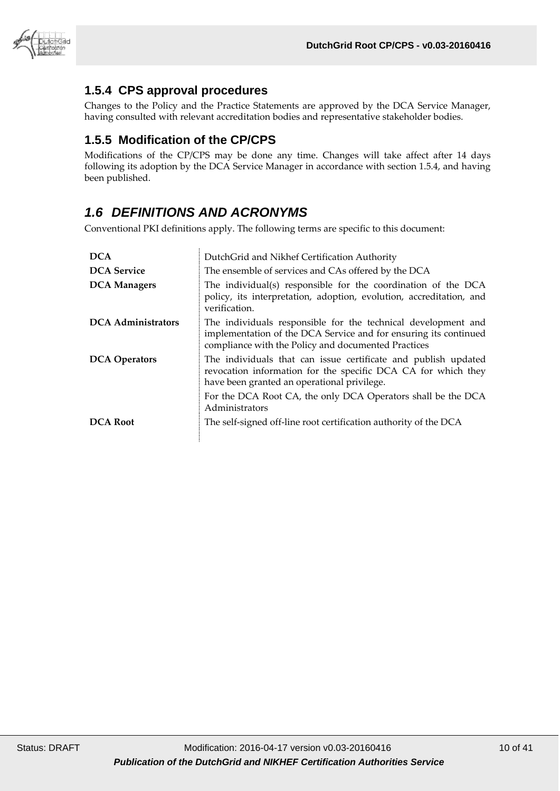

#### <span id="page-9-0"></span>**1.5.4 CPS approval procedures**

Changes to the Policy and the Practice Statements are approved by the DCA Service Manager, having consulted with relevant accreditation bodies and representative stakeholder bodies.

#### <span id="page-9-1"></span>**1.5.5 Modification of the CP/CPS**

Modifications of the CP/CPS may be done any time. Changes will take affect after 14 days following its adoption by the DCA Service Manager in accordance with section 1.5.4, and having been published.

# <span id="page-9-2"></span>*1.6 DEFINITIONS AND ACRONYMS*

Conventional PKI definitions apply. The following terms are specific to this document:

| <b>DCA</b>                | DutchGrid and Nikhef Certification Authority                                                                                                                                             |
|---------------------------|------------------------------------------------------------------------------------------------------------------------------------------------------------------------------------------|
| <b>DCA</b> Service        | The ensemble of services and CAs offered by the DCA                                                                                                                                      |
| <b>DCA Managers</b>       | The individual(s) responsible for the coordination of the DCA<br>policy, its interpretation, adoption, evolution, accreditation, and<br>verification.                                    |
| <b>DCA</b> Administrators | The individuals responsible for the technical development and<br>implementation of the DCA Service and for ensuring its continued<br>compliance with the Policy and documented Practices |
| <b>DCA</b> Operators      | The individuals that can issue certificate and publish updated<br>revocation information for the specific DCA CA for which they<br>have been granted an operational privilege.           |
|                           | For the DCA Root CA, the only DCA Operators shall be the DCA<br>Administrators                                                                                                           |
| <b>DCA Root</b>           | The self-signed off-line root certification authority of the DCA                                                                                                                         |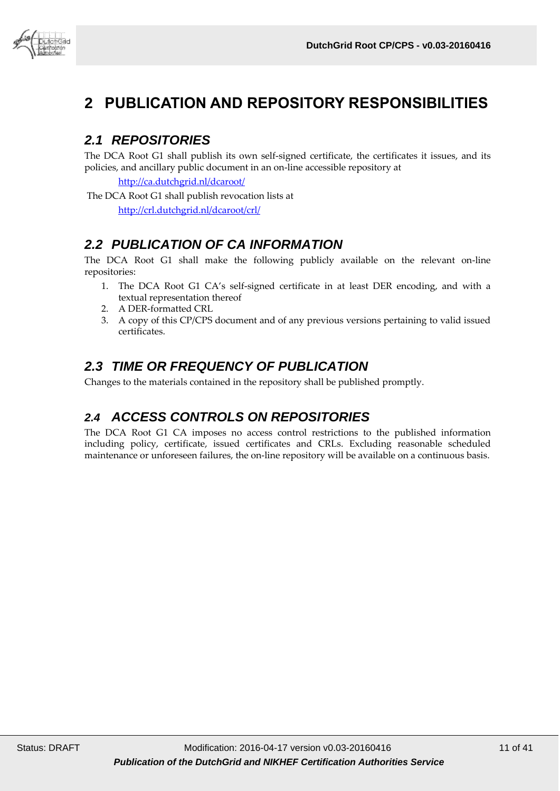

# <span id="page-10-0"></span>**2 PUBLICATION AND REPOSITORY RESPONSIBILITIES**

# <span id="page-10-1"></span>*2.1 REPOSITORIES*

The DCA Root G1 shall publish its own self-signed certificate, the certificates it issues, and its policies, and ancillary public document in an on-line accessible repository at

<http://ca.dutchgrid.nl/dcaroot/>

The DCA Root G1 shall publish revocation lists at <http://crl.dutchgrid.nl/dcaroot/crl/>

# <span id="page-10-2"></span>*2.2 PUBLICATION OF CA INFORMATION*

The DCA Root G1 shall make the following publicly available on the relevant on-line repositories:

- 1. The DCA Root G1 CA's self-signed certificate in at least DER encoding, and with a textual representation thereof
- 2. A DER-formatted CRL
- 3. A copy of this CP/CPS document and of any previous versions pertaining to valid issued certificates.

# <span id="page-10-3"></span>*2.3 TIME OR FREQUENCY OF PUBLICATION*

<span id="page-10-4"></span>Changes to the materials contained in the repository shall be published promptly.

# *2.4 ACCESS CONTROLS ON REPOSITORIES*

The DCA Root G1 CA imposes no access control restrictions to the published information including policy, certificate, issued certificates and CRLs. Excluding reasonable scheduled maintenance or unforeseen failures, the on-line repository will be available on a continuous basis.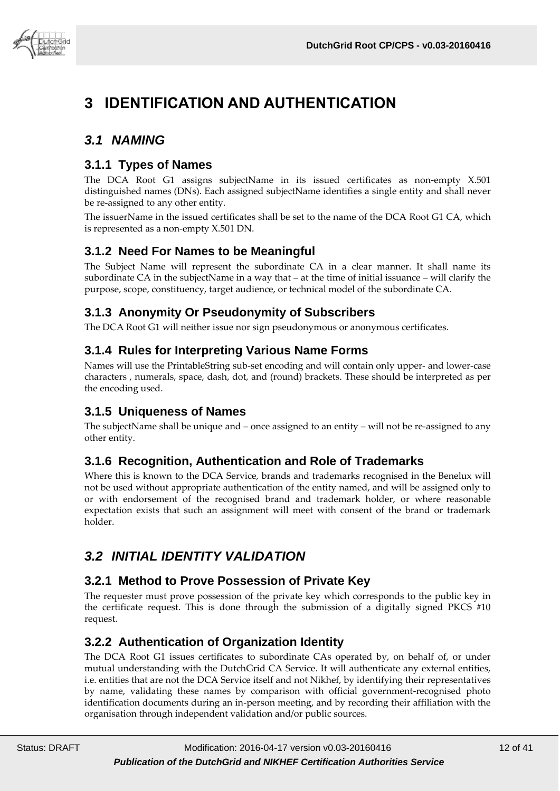

# <span id="page-11-0"></span>**3 IDENTIFICATION AND AUTHENTICATION**

# <span id="page-11-1"></span>*3.1 NAMING*

#### <span id="page-11-2"></span>**3.1.1 Types of Names**

The DCA Root G1 assigns subjectName in its issued certificates as non-empty X.501 distinguished names (DNs). Each assigned subjectName identifies a single entity and shall never be re-assigned to any other entity.

The issuerName in the issued certificates shall be set to the name of the DCA Root G1 CA, which is represented as a non-empty X.501 DN.

#### <span id="page-11-3"></span>**3.1.2 Need For Names to be Meaningful**

The Subject Name will represent the subordinate CA in a clear manner. It shall name its subordinate CA in the subjectName in a way that – at the time of initial issuance – will clarify the purpose, scope, constituency, target audience, or technical model of the subordinate CA.

#### <span id="page-11-4"></span>**3.1.3 Anonymity Or Pseudonymity of Subscribers**

The DCA Root G1 will neither issue nor sign pseudonymous or anonymous certificates.

#### <span id="page-11-5"></span>**3.1.4 Rules for Interpreting Various Name Forms**

Names will use the PrintableString sub-set encoding and will contain only upper- and lower-case characters , numerals, space, dash, dot, and (round) brackets. These should be interpreted as per the encoding used.

#### <span id="page-11-6"></span>**3.1.5 Uniqueness of Names**

The subjectName shall be unique and – once assigned to an entity – will not be re-assigned to any other entity.

#### <span id="page-11-7"></span>**3.1.6 Recognition, Authentication and Role of Trademarks**

Where this is known to the DCA Service, brands and trademarks recognised in the Benelux will not be used without appropriate authentication of the entity named, and will be assigned only to or with endorsement of the recognised brand and trademark holder, or where reasonable expectation exists that such an assignment will meet with consent of the brand or trademark holder.

# <span id="page-11-8"></span>*3.2 INITIAL IDENTITY VALIDATION*

#### <span id="page-11-9"></span>**3.2.1 Method to Prove Possession of Private Key**

The requester must prove possession of the private key which corresponds to the public key in the certificate request. This is done through the submission of a digitally signed PKCS #10 request.

#### <span id="page-11-10"></span>**3.2.2 Authentication of Organization Identity**

The DCA Root G1 issues certificates to subordinate CAs operated by, on behalf of, or under mutual understanding with the DutchGrid CA Service. It will authenticate any external entities, i.e. entities that are not the DCA Service itself and not Nikhef, by identifying their representatives by name, validating these names by comparison with official government-recognised photo identification documents during an in-person meeting, and by recording their affiliation with the organisation through independent validation and/or public sources.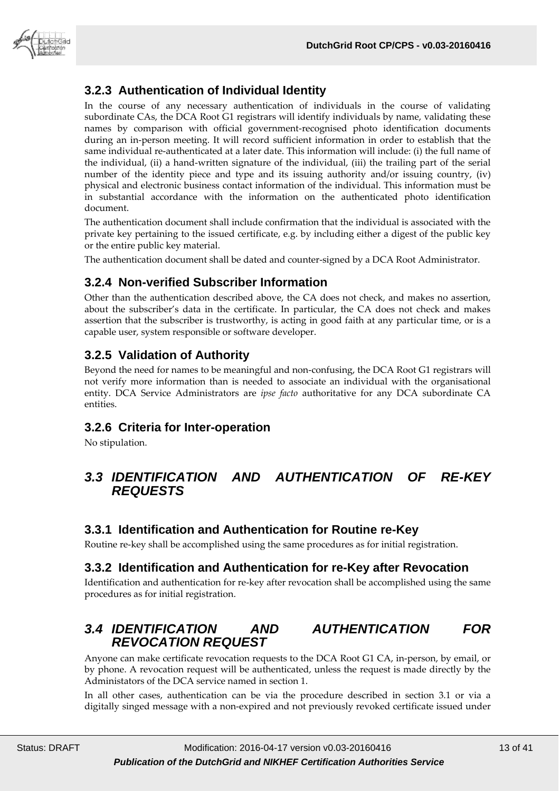

### <span id="page-12-0"></span>**3.2.3 Authentication of Individual Identity**

In the course of any necessary authentication of individuals in the course of validating subordinate CAs, the DCA Root G1 registrars will identify individuals by name, validating these names by comparison with official government-recognised photo identification documents during an in-person meeting. It will record sufficient information in order to establish that the same individual re-authenticated at a later date. This information will include: (i) the full name of the individual, (ii) a hand-written signature of the individual, (iii) the trailing part of the serial number of the identity piece and type and its issuing authority and/or issuing country, (iv) physical and electronic business contact information of the individual. This information must be in substantial accordance with the information on the authenticated photo identification document.

The authentication document shall include confirmation that the individual is associated with the private key pertaining to the issued certificate, e.g. by including either a digest of the public key or the entire public key material.

The authentication document shall be dated and counter-signed by a DCA Root Administrator.

#### <span id="page-12-1"></span>**3.2.4 Non-verified Subscriber Information**

Other than the authentication described above, the CA does not check, and makes no assertion, about the subscriber's data in the certificate. In particular, the CA does not check and makes assertion that the subscriber is trustworthy, is acting in good faith at any particular time, or is a capable user, system responsible or software developer.

### <span id="page-12-2"></span>**3.2.5 Validation of Authority**

Beyond the need for names to be meaningful and non-confusing, the DCA Root G1 registrars will not verify more information than is needed to associate an individual with the organisational entity. DCA Service Administrators are *ipse facto* authoritative for any DCA subordinate CA entities.

#### <span id="page-12-3"></span>**3.2.6 Criteria for Inter-operation**

<span id="page-12-4"></span>No stipulation.

#### *3.3 IDENTIFICATION AND AUTHENTICATION OF RE-KEY REQUESTS*

#### <span id="page-12-5"></span>**3.3.1 Identification and Authentication for Routine re-Key**

<span id="page-12-6"></span>Routine re-key shall be accomplished using the same procedures as for initial registration.

#### **3.3.2 Identification and Authentication for re-Key after Revocation**

Identification and authentication for re-key after revocation shall be accomplished using the same procedures as for initial registration.

# <span id="page-12-7"></span>*3.4 IDENTIFICATION AND AUTHENTICATION FOR REVOCATION REQUEST*

Anyone can make certificate revocation requests to the DCA Root G1 CA, in-person, by email, or by phone. A revocation request will be authenticated, unless the request is made directly by the Administators of the DCA service named in section 1.

In all other cases, authentication can be via the procedure described in section 3.1 or via a digitally singed message with a non-expired and not previously revoked certificate issued under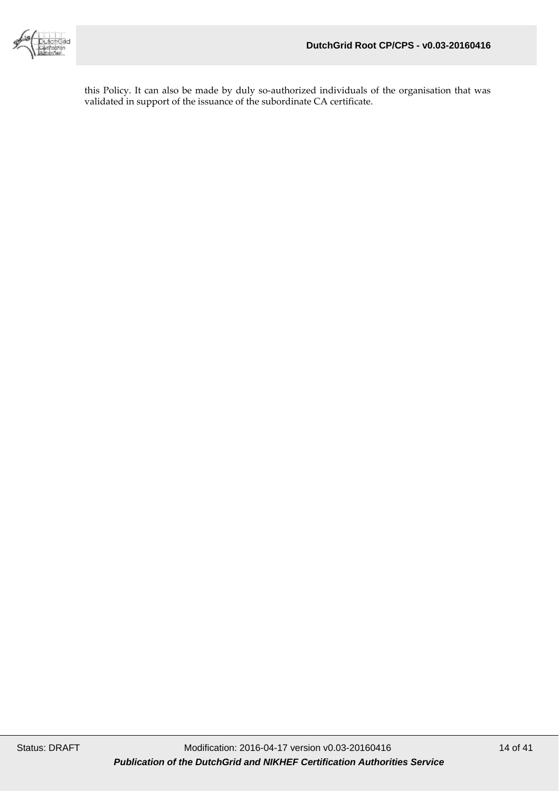

this Policy. It can also be made by duly so-authorized individuals of the organisation that was validated in support of the issuance of the subordinate CA certificate.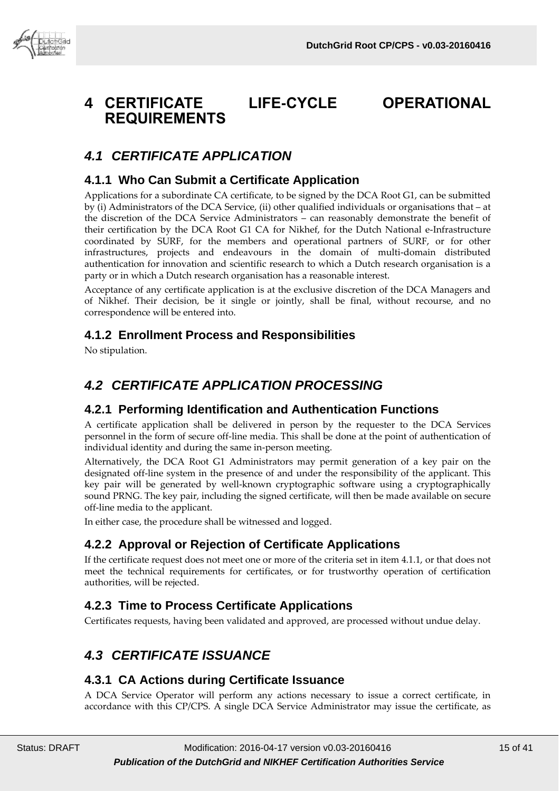# <span id="page-14-0"></span>**4 CERTIFICATE LIFE-CYCLE OPERATIONAL REQUIREMENTS**

# <span id="page-14-1"></span>*4.1 CERTIFICATE APPLICATION*

#### <span id="page-14-2"></span>**4.1.1 Who Can Submit a Certificate Application**

Applications for a subordinate CA certificate, to be signed by the DCA Root G1, can be submitted by (i) Administrators of the DCA Service, (ii) other qualified individuals or organisations that – at the discretion of the DCA Service Administrators – can reasonably demonstrate the benefit of their certification by the DCA Root G1 CA for Nikhef, for the Dutch National e-Infrastructure coordinated by SURF, for the members and operational partners of SURF, or for other infrastructures, projects and endeavours in the domain of multi-domain distributed authentication for innovation and scientific research to which a Dutch research organisation is a party or in which a Dutch research organisation has a reasonable interest.

Acceptance of any certificate application is at the exclusive discretion of the DCA Managers and of Nikhef. Their decision, be it single or jointly, shall be final, without recourse, and no correspondence will be entered into.

#### <span id="page-14-3"></span>**4.1.2 Enrollment Process and Responsibilities**

<span id="page-14-4"></span>No stipulation.

# *4.2 CERTIFICATE APPLICATION PROCESSING*

#### <span id="page-14-5"></span>**4.2.1 Performing Identification and Authentication Functions**

A certificate application shall be delivered in person by the requester to the DCA Services personnel in the form of secure off-line media. This shall be done at the point of authentication of individual identity and during the same in-person meeting.

Alternatively, the DCA Root G1 Administrators may permit generation of a key pair on the designated off-line system in the presence of and under the responsibility of the applicant. This key pair will be generated by well-known cryptographic software using a cryptographically sound PRNG. The key pair, including the signed certificate, will then be made available on secure off-line media to the applicant.

In either case, the procedure shall be witnessed and logged.

#### <span id="page-14-6"></span>**4.2.2 Approval or Rejection of Certificate Applications**

If the certificate request does not meet one or more of the criteria set in item 4.1.1, or that does not meet the technical requirements for certificates, or for trustworthy operation of certification authorities, will be rejected.

#### <span id="page-14-7"></span>**4.2.3 Time to Process Certificate Applications**

<span id="page-14-8"></span>Certificates requests, having been validated and approved, are processed without undue delay.

# *4.3 CERTIFICATE ISSUANCE*

#### <span id="page-14-9"></span>**4.3.1 CA Actions during Certificate Issuance**

A DCA Service Operator will perform any actions necessary to issue a correct certificate, in accordance with this CP/CPS. A single DCA Service Administrator may issue the certificate, as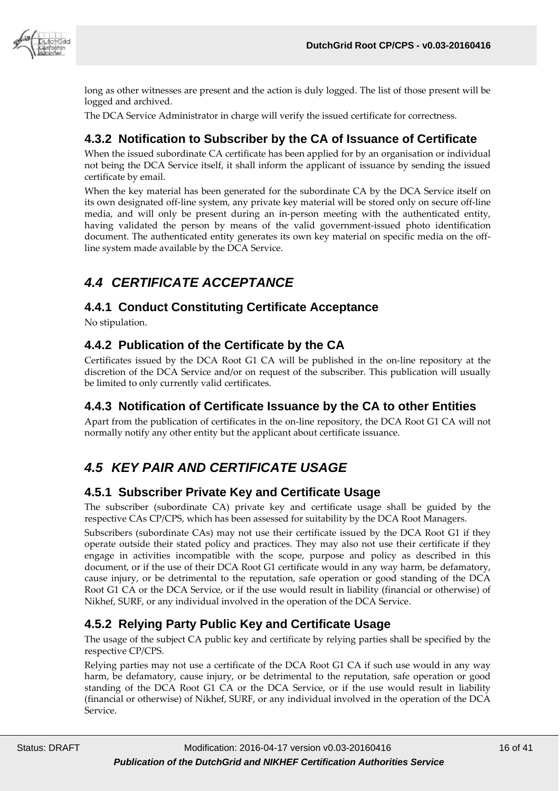

long as other witnesses are present and the action is duly logged. The list of those present will be logged and archived.

The DCA Service Administrator in charge will verify the issued certificate for correctness.

#### <span id="page-15-0"></span>**4.3.2 Notification to Subscriber by the CA of Issuance of Certificate**

When the issued subordinate CA certificate has been applied for by an organisation or individual not being the DCA Service itself, it shall inform the applicant of issuance by sending the issued certificate by email.

When the key material has been generated for the subordinate CA by the DCA Service itself on its own designated off-line system, any private key material will be stored only on secure off-line media, and will only be present during an in-person meeting with the authenticated entity, having validated the person by means of the valid government-issued photo identification document. The authenticated entity generates its own key material on specific media on the offline system made available by the DCA Service.

# <span id="page-15-1"></span>*4.4 CERTIFICATE ACCEPTANCE*

#### <span id="page-15-2"></span>**4.4.1 Conduct Constituting Certificate Acceptance**

No stipulation.

#### <span id="page-15-3"></span>**4.4.2 Publication of the Certificate by the CA**

Certificates issued by the DCA Root G1 CA will be published in the on-line repository at the discretion of the DCA Service and/or on request of the subscriber. This publication will usually be limited to only currently valid certificates.

#### <span id="page-15-4"></span>**4.4.3 Notification of Certificate Issuance by the CA to other Entities**

Apart from the publication of certificates in the on-line repository, the DCA Root G1 CA will not normally notify any other entity but the applicant about certificate issuance.

# <span id="page-15-5"></span>*4.5 KEY PAIR AND CERTIFICATE USAGE*

#### <span id="page-15-6"></span>**4.5.1 Subscriber Private Key and Certificate Usage**

The subscriber (subordinate CA) private key and certificate usage shall be guided by the respective CAs CP/CPS, which has been assessed for suitability by the DCA Root Managers.

Subscribers (subordinate CAs) may not use their certificate issued by the DCA Root G1 if they operate outside their stated policy and practices. They may also not use their certificate if they engage in activities incompatible with the scope, purpose and policy as described in this document, or if the use of their DCA Root G1 certificate would in any way harm, be defamatory, cause injury, or be detrimental to the reputation, safe operation or good standing of the DCA Root G1 CA or the DCA Service, or if the use would result in liability (financial or otherwise) of Nikhef, SURF, or any individual involved in the operation of the DCA Service.

#### <span id="page-15-7"></span>**4.5.2 Relying Party Public Key and Certificate Usage**

The usage of the subject CA public key and certificate by relying parties shall be specified by the respective CP/CPS.

Relying parties may not use a certificate of the DCA Root G1 CA if such use would in any way harm, be defamatory, cause injury, or be detrimental to the reputation, safe operation or good standing of the DCA Root G1 CA or the DCA Service, or if the use would result in liability (financial or otherwise) of Nikhef, SURF, or any individual involved in the operation of the DCA Service.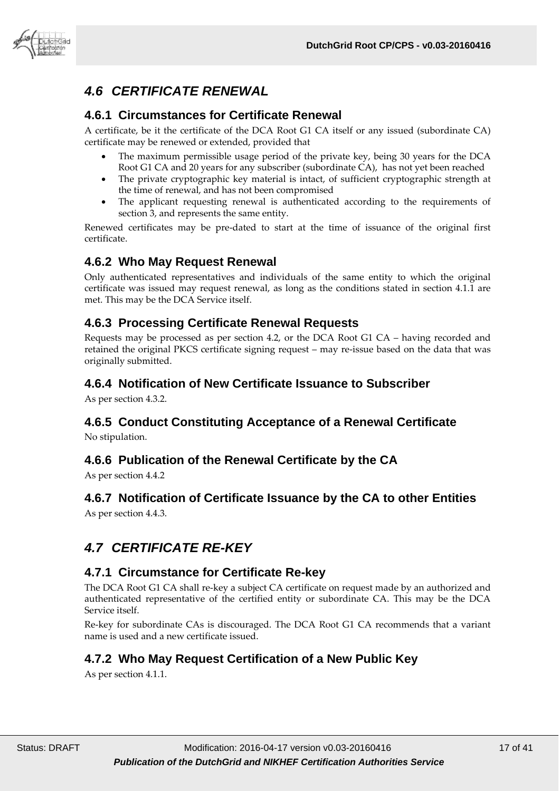

# <span id="page-16-0"></span>*4.6 CERTIFICATE RENEWAL*

#### <span id="page-16-1"></span>**4.6.1 Circumstances for Certificate Renewal**

A certificate, be it the certificate of the DCA Root G1 CA itself or any issued (subordinate CA) certificate may be renewed or extended, provided that

- The maximum permissible usage period of the private key, being 30 years for the DCA Root G1 CA and 20 years for any subscriber (subordinate CA), has not yet been reached
- The private cryptographic key material is intact, of sufficient cryptographic strength at the time of renewal, and has not been compromised
- The applicant requesting renewal is authenticated according to the requirements of section 3, and represents the same entity.

Renewed certificates may be pre-dated to start at the time of issuance of the original first certificate.

#### <span id="page-16-2"></span>**4.6.2 Who May Request Renewal**

Only authenticated representatives and individuals of the same entity to which the original certificate was issued may request renewal, as long as the conditions stated in section 4.1.1 are met. This may be the DCA Service itself.

#### <span id="page-16-3"></span>**4.6.3 Processing Certificate Renewal Requests**

Requests may be processed as per section 4.2, or the DCA Root G1 CA – having recorded and retained the original PKCS certificate signing request – may re-issue based on the data that was originally submitted.

#### <span id="page-16-4"></span>**4.6.4 Notification of New Certificate Issuance to Subscriber**

As per section 4.3.2.

# <span id="page-16-5"></span>**4.6.5 Conduct Constituting Acceptance of a Renewal Certificate**

No stipulation.

#### <span id="page-16-6"></span>**4.6.6 Publication of the Renewal Certificate by the CA**

<span id="page-16-7"></span>As per section 4.4.2

#### **4.6.7 Notification of Certificate Issuance by the CA to other Entities**

<span id="page-16-8"></span>As per section 4.4.3.

# *4.7 CERTIFICATE RE-KEY*

#### <span id="page-16-9"></span>**4.7.1 Circumstance for Certificate Re-key**

The DCA Root G1 CA shall re-key a subject CA certificate on request made by an authorized and authenticated representative of the certified entity or subordinate CA. This may be the DCA Service itself.

Re-key for subordinate CAs is discouraged. The DCA Root G1 CA recommends that a variant name is used and a new certificate issued.

#### <span id="page-16-10"></span>**4.7.2 Who May Request Certification of a New Public Key**

As per section 4.1.1.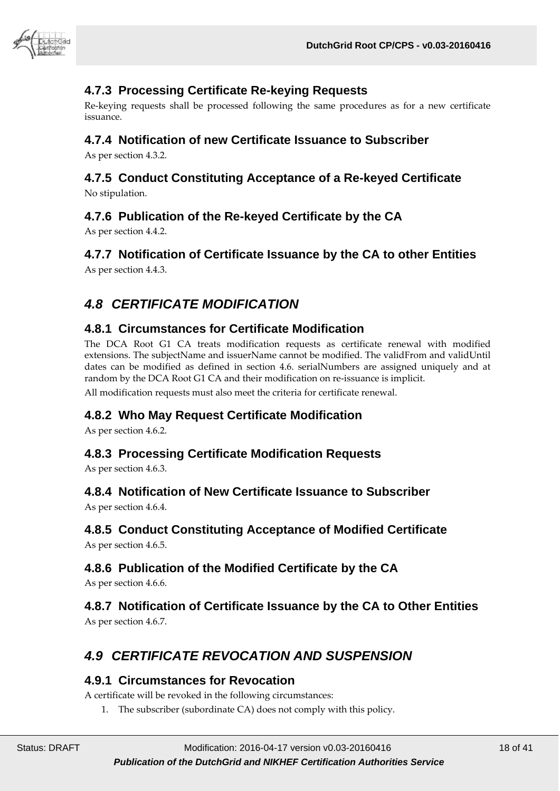

#### <span id="page-17-0"></span>**4.7.3 Processing Certificate Re-keying Requests**

Re-keying requests shall be processed following the same procedures as for a new certificate issuance.

#### <span id="page-17-1"></span>**4.7.4 Notification of new Certificate Issuance to Subscriber**

As per section 4.3.2.

# <span id="page-17-2"></span>**4.7.5 Conduct Constituting Acceptance of a Re-keyed Certificate**

<span id="page-17-3"></span>No stipulation.

#### **4.7.6 Publication of the Re-keyed Certificate by the CA**

As per section 4.4.2.

### <span id="page-17-4"></span>**4.7.7 Notification of Certificate Issuance by the CA to other Entities**

<span id="page-17-5"></span>As per section 4.4.3.

# *4.8 CERTIFICATE MODIFICATION*

#### <span id="page-17-6"></span>**4.8.1 Circumstances for Certificate Modification**

The DCA Root G1 CA treats modification requests as certificate renewal with modified extensions. The subjectName and issuerName cannot be modified. The validFrom and validUntil dates can be modified as defined in section 4.6. serialNumbers are assigned uniquely and at random by the DCA Root G1 CA and their modification on re-issuance is implicit.

All modification requests must also meet the criteria for certificate renewal.

#### <span id="page-17-7"></span>**4.8.2 Who May Request Certificate Modification**

As per section 4.6.2.

#### <span id="page-17-8"></span>**4.8.3 Processing Certificate Modification Requests**

As per section 4.6.3.

#### <span id="page-17-9"></span>**4.8.4 Notification of New Certificate Issuance to Subscriber**

As per section 4.6.4.

#### <span id="page-17-10"></span>**4.8.5 Conduct Constituting Acceptance of Modified Certificate**

As per section 4.6.5.

#### <span id="page-17-11"></span>**4.8.6 Publication of the Modified Certificate by the CA**

As per section 4.6.6.

#### <span id="page-17-12"></span>**4.8.7 Notification of Certificate Issuance by the CA to Other Entities** As per section 4.6.7.

# <span id="page-17-13"></span>*4.9 CERTIFICATE REVOCATION AND SUSPENSION*

#### <span id="page-17-14"></span>**4.9.1 Circumstances for Revocation**

A certificate will be revoked in the following circumstances:

1. The subscriber (subordinate CA) does not comply with this policy.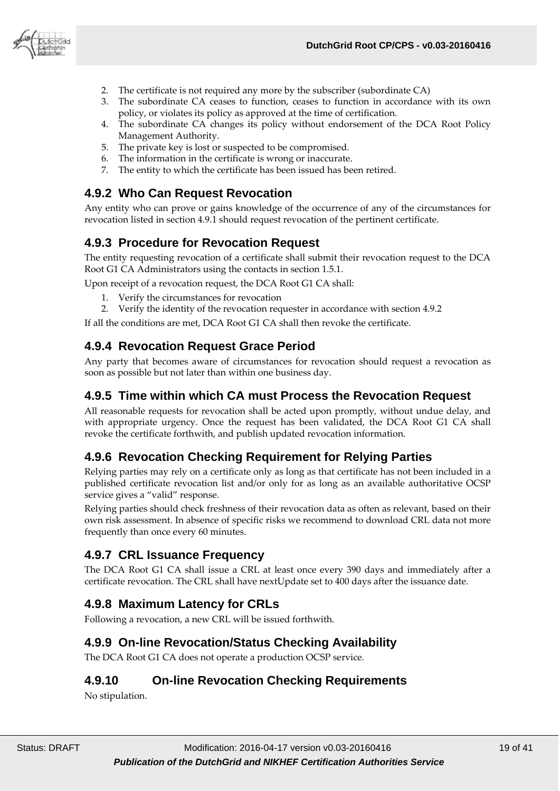

- 2. The certificate is not required any more by the subscriber (subordinate CA)
- 3. The subordinate CA ceases to function, ceases to function in accordance with its own policy, or violates its policy as approved at the time of certification.
- 4. The subordinate CA changes its policy without endorsement of the DCA Root Policy Management Authority.
- 5. The private key is lost or suspected to be compromised.
- 6. The information in the certificate is wrong or inaccurate.
- 7. The entity to which the certificate has been issued has been retired.

#### <span id="page-18-0"></span>**4.9.2 Who Can Request Revocation**

Any entity who can prove or gains knowledge of the occurrence of any of the circumstances for revocation listed in section 4.9.1 should request revocation of the pertinent certificate.

#### <span id="page-18-1"></span>**4.9.3 Procedure for Revocation Request**

The entity requesting revocation of a certificate shall submit their revocation request to the DCA Root G1 CA Administrators using the contacts in section 1.5.1.

Upon receipt of a revocation request, the DCA Root G1 CA shall:

- 1. Verify the circumstances for revocation
- 2. Verify the identity of the revocation requester in accordance with section 4.9.2

If all the conditions are met, DCA Root G1 CA shall then revoke the certificate.

#### <span id="page-18-2"></span>**4.9.4 Revocation Request Grace Period**

Any party that becomes aware of circumstances for revocation should request a revocation as soon as possible but not later than within one business day.

#### <span id="page-18-3"></span>**4.9.5 Time within which CA must Process the Revocation Request**

All reasonable requests for revocation shall be acted upon promptly, without undue delay, and with appropriate urgency. Once the request has been validated, the DCA Root G1 CA shall revoke the certificate forthwith, and publish updated revocation information.

#### <span id="page-18-4"></span>**4.9.6 Revocation Checking Requirement for Relying Parties**

Relying parties may rely on a certificate only as long as that certificate has not been included in a published certificate revocation list and/or only for as long as an available authoritative OCSP service gives a "valid" response.

Relying parties should check freshness of their revocation data as often as relevant, based on their own risk assessment. In absence of specific risks we recommend to download CRL data not more frequently than once every 60 minutes.

#### <span id="page-18-5"></span>**4.9.7 CRL Issuance Frequency**

The DCA Root G1 CA shall issue a CRL at least once every 390 days and immediately after a certificate revocation. The CRL shall have nextUpdate set to 400 days after the issuance date.

#### <span id="page-18-6"></span>**4.9.8 Maximum Latency for CRLs**

Following a revocation, a new CRL will be issued forthwith.

#### <span id="page-18-7"></span>**4.9.9 On-line Revocation/Status Checking Availability**

<span id="page-18-8"></span>The DCA Root G1 CA does not operate a production OCSP service.

#### **4.9.10 On-line Revocation Checking Requirements**

No stipulation.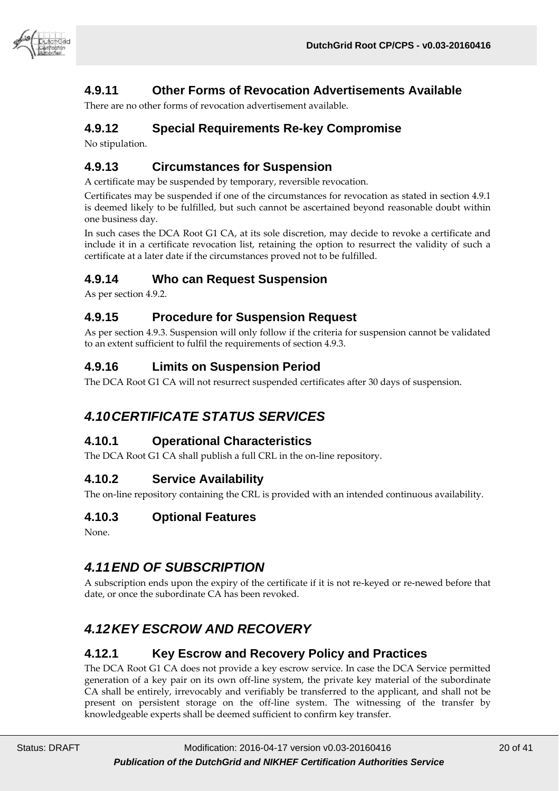

### <span id="page-19-0"></span>**4.9.11 Other Forms of Revocation Advertisements Available**

There are no other forms of revocation advertisement available.

#### <span id="page-19-1"></span>**4.9.12 Special Requirements Re-key Compromise**

No stipulation.

#### <span id="page-19-2"></span>**4.9.13 Circumstances for Suspension**

A certificate may be suspended by temporary, reversible revocation.

Certificates may be suspended if one of the circumstances for revocation as stated in section 4.9.1 is deemed likely to be fulfilled, but such cannot be ascertained beyond reasonable doubt within one business day.

In such cases the DCA Root G1 CA, at its sole discretion, may decide to revoke a certificate and include it in a certificate revocation list, retaining the option to resurrect the validity of such a certificate at a later date if the circumstances proved not to be fulfilled.

#### <span id="page-19-3"></span>**4.9.14 Who can Request Suspension**

As per section 4.9.2.

#### <span id="page-19-4"></span>**4.9.15 Procedure for Suspension Request**

As per section 4.9.3. Suspension will only follow if the criteria for suspension cannot be validated to an extent sufficient to fulfil the requirements of section 4.9.3.

#### <span id="page-19-5"></span>**4.9.16 Limits on Suspension Period**

<span id="page-19-6"></span>The DCA Root G1 CA will not resurrect suspended certificates after 30 days of suspension.

# *4.10CERTIFICATE STATUS SERVICES*

#### <span id="page-19-7"></span>**4.10.1 Operational Characteristics**

The DCA Root G1 CA shall publish a full CRL in the on-line repository.

#### <span id="page-19-8"></span>**4.10.2 Service Availability**

The on-line repository containing the CRL is provided with an intended continuous availability.

#### <span id="page-19-9"></span>**4.10.3 Optional Features**

<span id="page-19-10"></span>None.

#### *4.11END OF SUBSCRIPTION*

A subscription ends upon the expiry of the certificate if it is not re-keyed or re-newed before that date, or once the subordinate CA has been revoked.

# <span id="page-19-11"></span>*4.12KEY ESCROW AND RECOVERY*

#### <span id="page-19-12"></span>**4.12.1 Key Escrow and Recovery Policy and Practices**

The DCA Root G1 CA does not provide a key escrow service. In case the DCA Service permitted generation of a key pair on its own off-line system, the private key material of the subordinate CA shall be entirely, irrevocably and verifiably be transferred to the applicant, and shall not be present on persistent storage on the off-line system. The witnessing of the transfer by knowledgeable experts shall be deemed sufficient to confirm key transfer.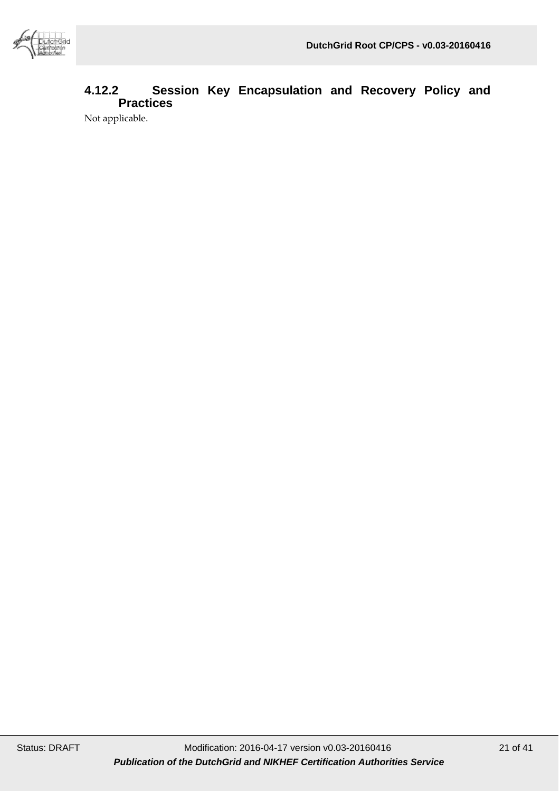

### <span id="page-20-0"></span>**4.12.2 Session Key Encapsulation and Recovery Policy and Practices**

Not applicable.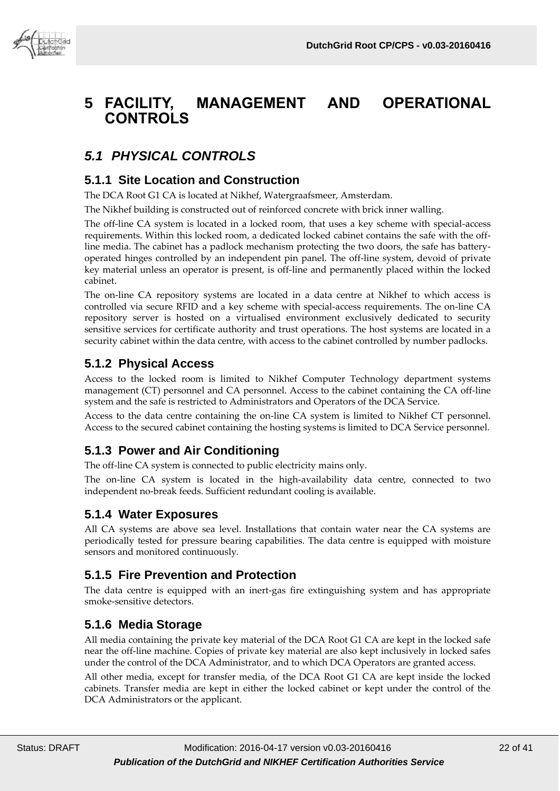



# <span id="page-21-0"></span>**5 FACILITY, MANAGEMENT AND OPERATIONAL CONTROLS**

# <span id="page-21-1"></span>*5.1 PHYSICAL CONTROLS*

#### <span id="page-21-2"></span>**5.1.1 Site Location and Construction**

The DCA Root G1 CA is located at Nikhef, Watergraafsmeer, Amsterdam.

The Nikhef building is constructed out of reinforced concrete with brick inner walling.

The off-line CA system is located in a locked room, that uses a key scheme with special-access requirements. Within this locked room, a dedicated locked cabinet contains the safe with the offline media. The cabinet has a padlock mechanism protecting the two doors, the safe has batteryoperated hinges controlled by an independent pin panel. The off-line system, devoid of private key material unless an operator is present, is off-line and permanently placed within the locked cabinet.

The on-line CA repository systems are located in a data centre at Nikhef to which access is controlled via secure RFID and a key scheme with special-access requirements. The on-line CA repository server is hosted on a virtualised environment exclusively dedicated to security sensitive services for certificate authority and trust operations. The host systems are located in a security cabinet within the data centre, with access to the cabinet controlled by number padlocks.

#### <span id="page-21-3"></span>**5.1.2 Physical Access**

Access to the locked room is limited to Nikhef Computer Technology department systems management (CT) personnel and CA personnel. Access to the cabinet containing the CA off-line system and the safe is restricted to Administrators and Operators of the DCA Service.

Access to the data centre containing the on-line CA system is limited to Nikhef CT personnel. Access to the secured cabinet containing the hosting systems is limited to DCA Service personnel.

#### <span id="page-21-4"></span>**5.1.3 Power and Air Conditioning**

The off-line CA system is connected to public electricity mains only.

The on-line CA system is located in the high-availability data centre, connected to two independent no-break feeds. Sufficient redundant cooling is available.

#### <span id="page-21-5"></span>**5.1.4 Water Exposures**

All CA systems are above sea level. Installations that contain water near the CA systems are periodically tested for pressure bearing capabilities. The data centre is equipped with moisture sensors and monitored continuously.

#### <span id="page-21-6"></span>**5.1.5 Fire Prevention and Protection**

The data centre is equipped with an inert-gas fire extinguishing system and has appropriate smoke-sensitive detectors.

#### <span id="page-21-7"></span>**5.1.6 Media Storage**

All media containing the private key material of the DCA Root G1 CA are kept in the locked safe near the off-line machine. Copies of private key material are also kept inclusively in locked safes under the control of the DCA Administrator, and to which DCA Operators are granted access.

All other media, except for transfer media, of the DCA Root G1 CA are kept inside the locked cabinets. Transfer media are kept in either the locked cabinet or kept under the control of the DCA Administrators or the applicant.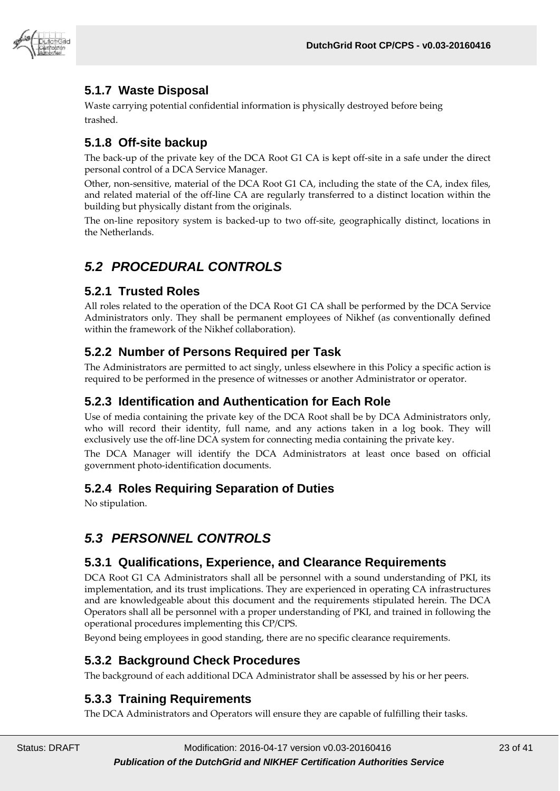

### <span id="page-22-0"></span>**5.1.7 Waste Disposal**

Waste carrying potential confidential information is physically destroyed before being trashed.

#### <span id="page-22-1"></span>**5.1.8 Off-site backup**

The back-up of the private key of the DCA Root G1 CA is kept off-site in a safe under the direct personal control of a DCA Service Manager.

Other, non-sensitive, material of the DCA Root G1 CA, including the state of the CA, index files, and related material of the off-line CA are regularly transferred to a distinct location within the building but physically distant from the originals.

The on-line repository system is backed-up to two off-site, geographically distinct, locations in the Netherlands.

# <span id="page-22-2"></span>*5.2 PROCEDURAL CONTROLS*

#### <span id="page-22-3"></span>**5.2.1 Trusted Roles**

All roles related to the operation of the DCA Root G1 CA shall be performed by the DCA Service Administrators only. They shall be permanent employees of Nikhef (as conventionally defined within the framework of the Nikhef collaboration).

#### <span id="page-22-4"></span>**5.2.2 Number of Persons Required per Task**

The Administrators are permitted to act singly, unless elsewhere in this Policy a specific action is required to be performed in the presence of witnesses or another Administrator or operator.

#### <span id="page-22-5"></span>**5.2.3 Identification and Authentication for Each Role**

Use of media containing the private key of the DCA Root shall be by DCA Administrators only, who will record their identity, full name, and any actions taken in a log book. They will exclusively use the off-line DCA system for connecting media containing the private key.

The DCA Manager will identify the DCA Administrators at least once based on official government photo-identification documents.

#### <span id="page-22-6"></span>**5.2.4 Roles Requiring Separation of Duties**

<span id="page-22-7"></span>No stipulation.

# *5.3 PERSONNEL CONTROLS*

#### <span id="page-22-8"></span>**5.3.1 Qualifications, Experience, and Clearance Requirements**

DCA Root G1 CA Administrators shall all be personnel with a sound understanding of PKI, its implementation, and its trust implications. They are experienced in operating CA infrastructures and are knowledgeable about this document and the requirements stipulated herein. The DCA Operators shall all be personnel with a proper understanding of PKI, and trained in following the operational procedures implementing this CP/CPS.

<span id="page-22-9"></span>Beyond being employees in good standing, there are no specific clearance requirements.

#### **5.3.2 Background Check Procedures**

The background of each additional DCA Administrator shall be assessed by his or her peers.

#### <span id="page-22-10"></span>**5.3.3 Training Requirements**

The DCA Administrators and Operators will ensure they are capable of fulfilling their tasks.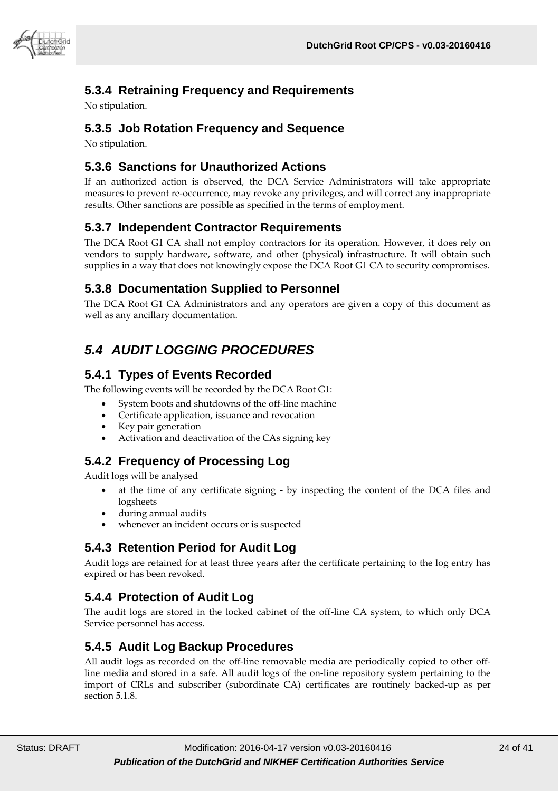

### <span id="page-23-0"></span>**5.3.4 Retraining Frequency and Requirements**

No stipulation.

#### <span id="page-23-1"></span>**5.3.5 Job Rotation Frequency and Sequence**

No stipulation.

#### <span id="page-23-2"></span>**5.3.6 Sanctions for Unauthorized Actions**

If an authorized action is observed, the DCA Service Administrators will take appropriate measures to prevent re-occurrence, may revoke any privileges, and will correct any inappropriate results. Other sanctions are possible as specified in the terms of employment.

#### <span id="page-23-3"></span>**5.3.7 Independent Contractor Requirements**

The DCA Root G1 CA shall not employ contractors for its operation. However, it does rely on vendors to supply hardware, software, and other (physical) infrastructure. It will obtain such supplies in a way that does not knowingly expose the DCA Root G1 CA to security compromises.

#### <span id="page-23-4"></span>**5.3.8 Documentation Supplied to Personnel**

The DCA Root G1 CA Administrators and any operators are given a copy of this document as well as any ancillary documentation.

# <span id="page-23-5"></span>*5.4 AUDIT LOGGING PROCEDURES*

#### <span id="page-23-6"></span>**5.4.1 Types of Events Recorded**

The following events will be recorded by the DCA Root G1:

- System boots and shutdowns of the off-line machine
- Certificate application, issuance and revocation
- Key pair generation
- Activation and deactivation of the CAs signing key

#### <span id="page-23-7"></span>**5.4.2 Frequency of Processing Log**

Audit logs will be analysed

- at the time of any certificate signing by inspecting the content of the DCA files and logsheets
- during annual audits
- whenever an incident occurs or is suspected

#### <span id="page-23-8"></span>**5.4.3 Retention Period for Audit Log**

Audit logs are retained for at least three years after the certificate pertaining to the log entry has expired or has been revoked.

#### <span id="page-23-9"></span>**5.4.4 Protection of Audit Log**

The audit logs are stored in the locked cabinet of the off-line CA system, to which only DCA Service personnel has access.

#### <span id="page-23-10"></span>**5.4.5 Audit Log Backup Procedures**

All audit logs as recorded on the off-line removable media are periodically copied to other offline media and stored in a safe. All audit logs of the on-line repository system pertaining to the import of CRLs and subscriber (subordinate CA) certificates are routinely backed-up as per section 5.1.8.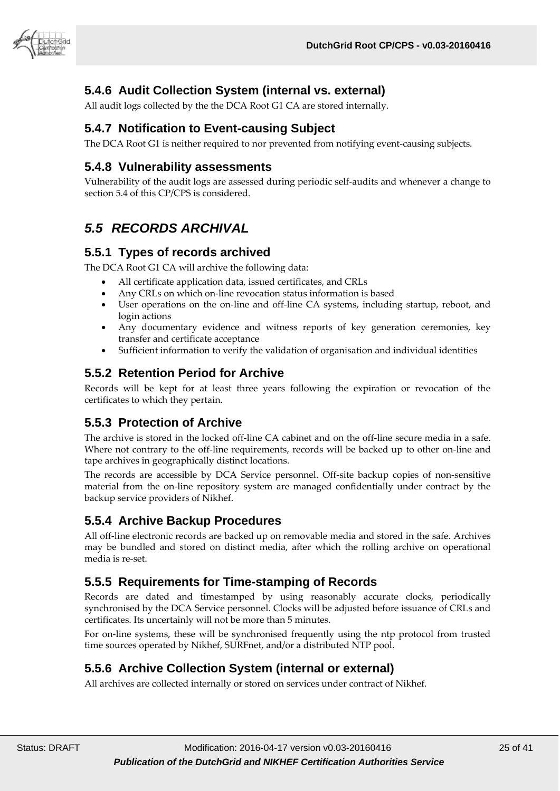

#### <span id="page-24-0"></span>**5.4.6 Audit Collection System (internal vs. external)**

All audit logs collected by the the DCA Root G1 CA are stored internally.

#### <span id="page-24-1"></span>**5.4.7 Notification to Event-causing Subject**

<span id="page-24-2"></span>The DCA Root G1 is neither required to nor prevented from notifying event-causing subjects.

#### **5.4.8 Vulnerability assessments**

Vulnerability of the audit logs are assessed during periodic self-audits and whenever a change to section 5.4 of this CP/CPS is considered.

# <span id="page-24-3"></span>*5.5 RECORDS ARCHIVAL*

#### <span id="page-24-4"></span>**5.5.1 Types of records archived**

The DCA Root G1 CA will archive the following data:

- All certificate application data, issued certificates, and CRLs
- Any CRLs on which on-line revocation status information is based
- User operations on the on-line and off-line CA systems, including startup, reboot, and login actions
- Any documentary evidence and witness reports of key generation ceremonies, key transfer and certificate acceptance
- Sufficient information to verify the validation of organisation and individual identities

#### <span id="page-24-5"></span>**5.5.2 Retention Period for Archive**

Records will be kept for at least three years following the expiration or revocation of the certificates to which they pertain.

#### <span id="page-24-6"></span>**5.5.3 Protection of Archive**

The archive is stored in the locked off-line CA cabinet and on the off-line secure media in a safe. Where not contrary to the off-line requirements, records will be backed up to other on-line and tape archives in geographically distinct locations.

The records are accessible by DCA Service personnel. Off-site backup copies of non-sensitive material from the on-line repository system are managed confidentially under contract by the backup service providers of Nikhef.

#### <span id="page-24-7"></span>**5.5.4 Archive Backup Procedures**

All off-line electronic records are backed up on removable media and stored in the safe. Archives may be bundled and stored on distinct media, after which the rolling archive on operational media is re-set.

#### <span id="page-24-8"></span>**5.5.5 Requirements for Time-stamping of Records**

Records are dated and timestamped by using reasonably accurate clocks, periodically synchronised by the DCA Service personnel. Clocks will be adjusted before issuance of CRLs and certificates. Its uncertainly will not be more than 5 minutes.

For on-line systems, these will be synchronised frequently using the ntp protocol from trusted time sources operated by Nikhef, SURFnet, and/or a distributed NTP pool.

#### <span id="page-24-9"></span>**5.5.6 Archive Collection System (internal or external)**

All archives are collected internally or stored on services under contract of Nikhef.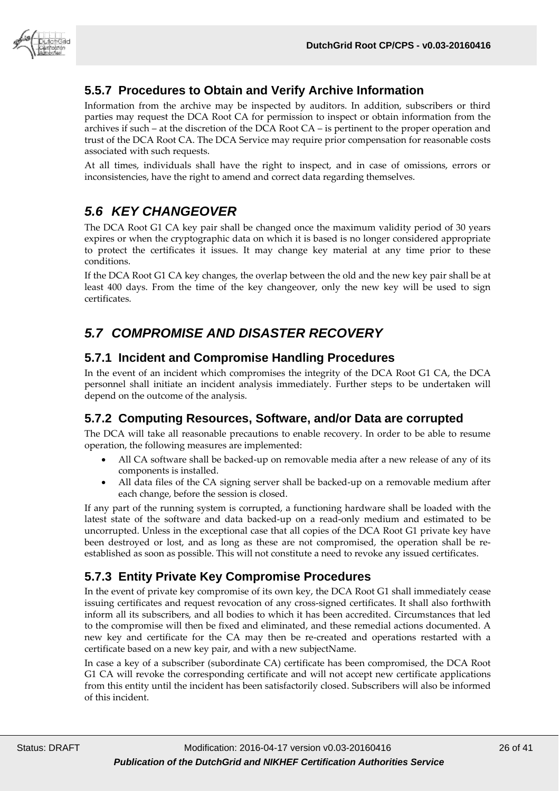

#### <span id="page-25-0"></span>**5.5.7 Procedures to Obtain and Verify Archive Information**

Information from the archive may be inspected by auditors. In addition, subscribers or third parties may request the DCA Root CA for permission to inspect or obtain information from the archives if such – at the discretion of the DCA Root CA – is pertinent to the proper operation and trust of the DCA Root CA. The DCA Service may require prior compensation for reasonable costs associated with such requests.

At all times, individuals shall have the right to inspect, and in case of omissions, errors or inconsistencies, have the right to amend and correct data regarding themselves.

# <span id="page-25-1"></span>*5.6 KEY CHANGEOVER*

The DCA Root G1 CA key pair shall be changed once the maximum validity period of 30 years expires or when the cryptographic data on which it is based is no longer considered appropriate to protect the certificates it issues. It may change key material at any time prior to these conditions.

If the DCA Root G1 CA key changes, the overlap between the old and the new key pair shall be at least 400 days. From the time of the key changeover, only the new key will be used to sign certificates.

# <span id="page-25-2"></span>*5.7 COMPROMISE AND DISASTER RECOVERY*

#### <span id="page-25-3"></span>**5.7.1 Incident and Compromise Handling Procedures**

In the event of an incident which compromises the integrity of the DCA Root G1 CA, the DCA personnel shall initiate an incident analysis immediately. Further steps to be undertaken will depend on the outcome of the analysis.

#### <span id="page-25-4"></span>**5.7.2 Computing Resources, Software, and/or Data are corrupted**

The DCA will take all reasonable precautions to enable recovery. In order to be able to resume operation, the following measures are implemented:

- All CA software shall be backed-up on removable media after a new release of any of its components is installed.
- All data files of the CA signing server shall be backed-up on a removable medium after each change, before the session is closed.

If any part of the running system is corrupted, a functioning hardware shall be loaded with the latest state of the software and data backed-up on a read-only medium and estimated to be uncorrupted. Unless in the exceptional case that all copies of the DCA Root G1 private key have been destroyed or lost, and as long as these are not compromised, the operation shall be reestablished as soon as possible. This will not constitute a need to revoke any issued certificates.

#### <span id="page-25-5"></span>**5.7.3 Entity Private Key Compromise Procedures**

In the event of private key compromise of its own key, the DCA Root G1 shall immediately cease issuing certificates and request revocation of any cross-signed certificates. It shall also forthwith inform all its subscribers, and all bodies to which it has been accredited. Circumstances that led to the compromise will then be fixed and eliminated, and these remedial actions documented. A new key and certificate for the CA may then be re-created and operations restarted with a certificate based on a new key pair, and with a new subjectName.

In case a key of a subscriber (subordinate CA) certificate has been compromised, the DCA Root G1 CA will revoke the corresponding certificate and will not accept new certificate applications from this entity until the incident has been satisfactorily closed. Subscribers will also be informed of this incident.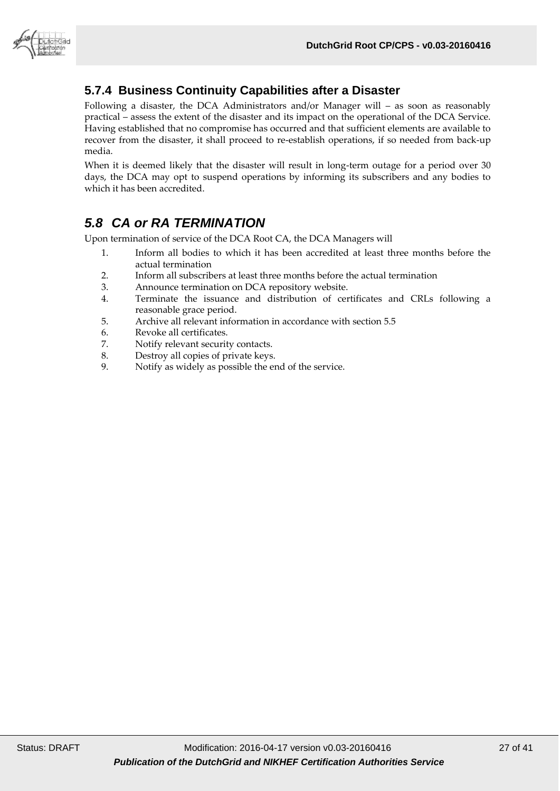

# <span id="page-26-0"></span>**5.7.4 Business Continuity Capabilities after a Disaster**

Following a disaster, the DCA Administrators and/or Manager will – as soon as reasonably practical – assess the extent of the disaster and its impact on the operational of the DCA Service. Having established that no compromise has occurred and that sufficient elements are available to recover from the disaster, it shall proceed to re-establish operations, if so needed from back-up media.

When it is deemed likely that the disaster will result in long-term outage for a period over 30 days, the DCA may opt to suspend operations by informing its subscribers and any bodies to which it has been accredited.

# <span id="page-26-1"></span>*5.8 CA or RA TERMINATION*

Upon termination of service of the DCA Root CA, the DCA Managers will

- 1. Inform all bodies to which it has been accredited at least three months before the actual termination
- 2. Inform all subscribers at least three months before the actual termination
- 3. Announce termination on DCA repository website.
- 4. Terminate the issuance and distribution of certificates and CRLs following a reasonable grace period.
- 5. Archive all relevant information in accordance with section 5.5
- 6. Revoke all certificates.<br>
7. Notify relevant security
- Notify relevant security contacts.
- 8. Destroy all copies of private keys.<br>9. Notify as widely as possible the eq
- Notify as widely as possible the end of the service.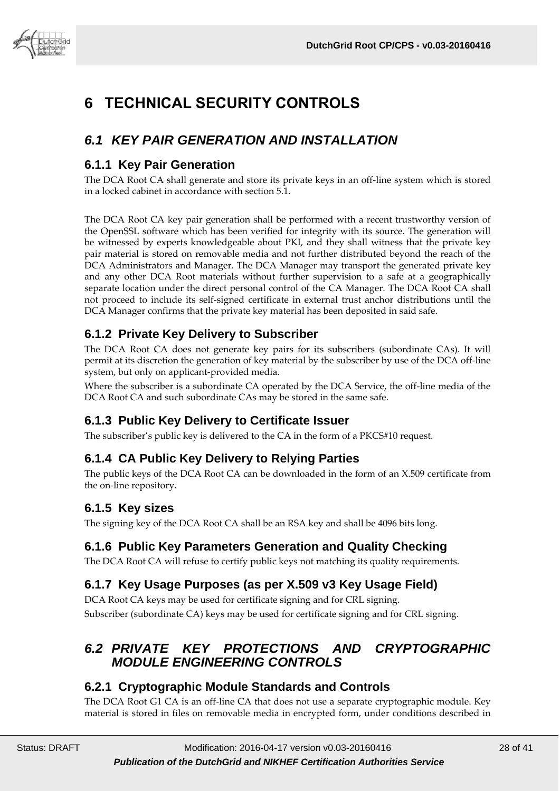

# <span id="page-27-0"></span>**6 TECHNICAL SECURITY CONTROLS**

# <span id="page-27-1"></span>*6.1 KEY PAIR GENERATION AND INSTALLATION*

#### <span id="page-27-2"></span>**6.1.1 Key Pair Generation**

The DCA Root CA shall generate and store its private keys in an off-line system which is stored in a locked cabinet in accordance with section 5.1.

The DCA Root CA key pair generation shall be performed with a recent trustworthy version of the OpenSSL software which has been verified for integrity with its source. The generation will be witnessed by experts knowledgeable about PKI, and they shall witness that the private key pair material is stored on removable media and not further distributed beyond the reach of the DCA Administrators and Manager. The DCA Manager may transport the generated private key and any other DCA Root materials without further supervision to a safe at a geographically separate location under the direct personal control of the CA Manager. The DCA Root CA shall not proceed to include its self-signed certificate in external trust anchor distributions until the DCA Manager confirms that the private key material has been deposited in said safe.

#### <span id="page-27-3"></span>**6.1.2 Private Key Delivery to Subscriber**

The DCA Root CA does not generate key pairs for its subscribers (subordinate CAs). It will permit at its discretion the generation of key material by the subscriber by use of the DCA off-line system, but only on applicant-provided media.

Where the subscriber is a subordinate CA operated by the DCA Service, the off-line media of the DCA Root CA and such subordinate CAs may be stored in the same safe.

#### <span id="page-27-4"></span>**6.1.3 Public Key Delivery to Certificate Issuer**

The subscriber's public key is delivered to the CA in the form of a PKCS#10 request.

#### <span id="page-27-5"></span>**6.1.4 CA Public Key Delivery to Relying Parties**

The public keys of the DCA Root CA can be downloaded in the form of an X.509 certificate from the on-line repository.

#### <span id="page-27-6"></span>**6.1.5 Key sizes**

The signing key of the DCA Root CA shall be an RSA key and shall be 4096 bits long.

#### <span id="page-27-7"></span>**6.1.6 Public Key Parameters Generation and Quality Checking**

The DCA Root CA will refuse to certify public keys not matching its quality requirements.

# <span id="page-27-8"></span>**6.1.7 Key Usage Purposes (as per X.509 v3 Key Usage Field)**

DCA Root CA keys may be used for certificate signing and for CRL signing. Subscriber (subordinate CA) keys may be used for certificate signing and for CRL signing.

# <span id="page-27-9"></span>*6.2 PRIVATE KEY PROTECTIONS AND CRYPTOGRAPHIC MODULE ENGINEERING CONTROLS*

#### <span id="page-27-10"></span>**6.2.1 Cryptographic Module Standards and Controls**

The DCA Root G1 CA is an off-line CA that does not use a separate cryptographic module. Key material is stored in files on removable media in encrypted form, under conditions described in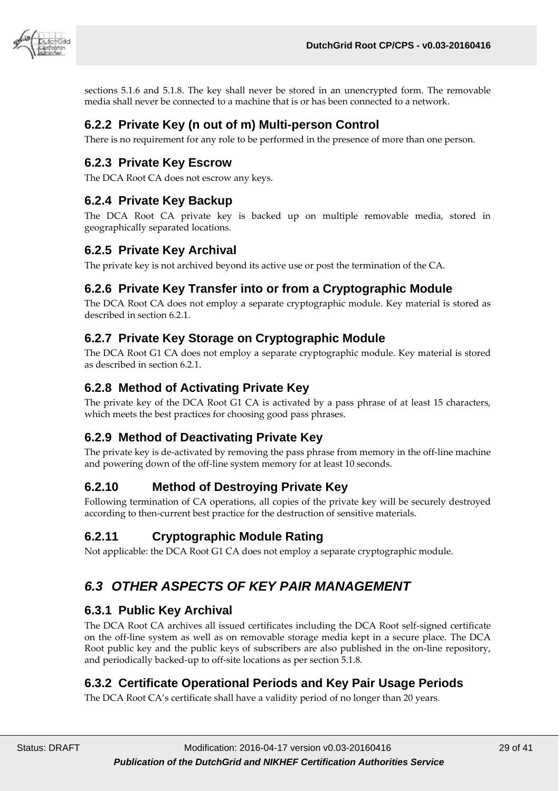

sections 5.1.6 and 5.1.8. The key shall never be stored in an unencrypted form. The removable media shall never be connected to a machine that is or has been connected to a network.

#### <span id="page-28-0"></span>**6.2.2 Private Key (n out of m) Multi-person Control**

There is no requirement for any role to be performed in the presence of more than one person.

#### <span id="page-28-1"></span>**6.2.3 Private Key Escrow**

The DCA Root CA does not escrow any keys.

#### <span id="page-28-2"></span>**6.2.4 Private Key Backup**

The DCA Root CA private key is backed up on multiple removable media, stored in geographically separated locations.

#### <span id="page-28-3"></span>**6.2.5 Private Key Archival**

The private key is not archived beyond its active use or post the termination of the CA.

#### <span id="page-28-4"></span>**6.2.6 Private Key Transfer into or from a Cryptographic Module**

The DCA Root CA does not employ a separate cryptographic module. Key material is stored as described in section 6.2.1.

#### <span id="page-28-5"></span>**6.2.7 Private Key Storage on Cryptographic Module**

The DCA Root G1 CA does not employ a separate cryptographic module. Key material is stored as described in section 6.2.1.

#### <span id="page-28-6"></span>**6.2.8 Method of Activating Private Key**

The private key of the DCA Root G1 CA is activated by a pass phrase of at least 15 characters, which meets the best practices for choosing good pass phrases.

#### <span id="page-28-7"></span>**6.2.9 Method of Deactivating Private Key**

The private key is de-activated by removing the pass phrase from memory in the off-line machine and powering down of the off-line system memory for at least 10 seconds.

#### <span id="page-28-8"></span>**6.2.10 Method of Destroying Private Key**

Following termination of CA operations, all copies of the private key will be securely destroyed according to then-current best practice for the destruction of sensitive materials.

#### <span id="page-28-9"></span>**6.2.11 Cryptographic Module Rating**

<span id="page-28-10"></span>Not applicable: the DCA Root G1 CA does not employ a separate cryptographic module.

# *6.3 OTHER ASPECTS OF KEY PAIR MANAGEMENT*

#### <span id="page-28-11"></span>**6.3.1 Public Key Archival**

The DCA Root CA archives all issued certificates including the DCA Root self-signed certificate on the off-line system as well as on removable storage media kept in a secure place. The DCA Root public key and the public keys of subscribers are also published in the on-line repository, and periodically backed-up to off-site locations as per section 5.1.8.

#### <span id="page-28-12"></span>**6.3.2 Certificate Operational Periods and Key Pair Usage Periods**

The DCA Root CA's certificate shall have a validity period of no longer than 20 years.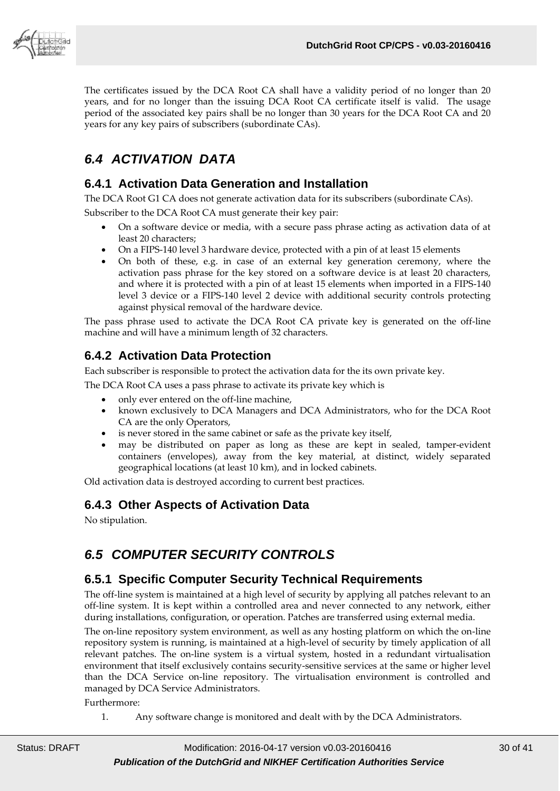

The certificates issued by the DCA Root CA shall have a validity period of no longer than 20 years, and for no longer than the issuing DCA Root CA certificate itself is valid. The usage period of the associated key pairs shall be no longer than 30 years for the DCA Root CA and 20 years for any key pairs of subscribers (subordinate CAs).

# <span id="page-29-0"></span>*6.4 ACTIVATION DATA*

#### <span id="page-29-1"></span>**6.4.1 Activation Data Generation and Installation**

The DCA Root G1 CA does not generate activation data for its subscribers (subordinate CAs).

Subscriber to the DCA Root CA must generate their key pair:

- On a software device or media, with a secure pass phrase acting as activation data of at least 20 characters;
- On a FIPS-140 level 3 hardware device, protected with a pin of at least 15 elements
- On both of these, e.g. in case of an external key generation ceremony, where the activation pass phrase for the key stored on a software device is at least 20 characters, and where it is protected with a pin of at least 15 elements when imported in a FIPS-140 level 3 device or a FIPS-140 level 2 device with additional security controls protecting against physical removal of the hardware device.

The pass phrase used to activate the DCA Root CA private key is generated on the off-line machine and will have a minimum length of 32 characters.

#### <span id="page-29-2"></span>**6.4.2 Activation Data Protection**

Each subscriber is responsible to protect the activation data for the its own private key.

The DCA Root CA uses a pass phrase to activate its private key which is

- only ever entered on the off-line machine,
- known exclusively to DCA Managers and DCA Administrators, who for the DCA Root CA are the only Operators,
- is never stored in the same cabinet or safe as the private key itself,
- may be distributed on paper as long as these are kept in sealed, tamper-evident containers (envelopes), away from the key material, at distinct, widely separated geographical locations (at least 10 km), and in locked cabinets.

<span id="page-29-3"></span>Old activation data is destroyed according to current best practices.

#### **6.4.3 Other Aspects of Activation Data**

<span id="page-29-4"></span>No stipulation.

# *6.5 COMPUTER SECURITY CONTROLS*

#### <span id="page-29-5"></span>**6.5.1 Specific Computer Security Technical Requirements**

The off-line system is maintained at a high level of security by applying all patches relevant to an off-line system. It is kept within a controlled area and never connected to any network, either during installations, configuration, or operation. Patches are transferred using external media.

The on-line repository system environment, as well as any hosting platform on which the on-line repository system is running, is maintained at a high-level of security by timely application of all relevant patches. The on-line system is a virtual system, hosted in a redundant virtualisation environment that itself exclusively contains security-sensitive services at the same or higher level than the DCA Service on-line repository. The virtualisation environment is controlled and managed by DCA Service Administrators.

Furthermore:

1. Any software change is monitored and dealt with by the DCA Administrators.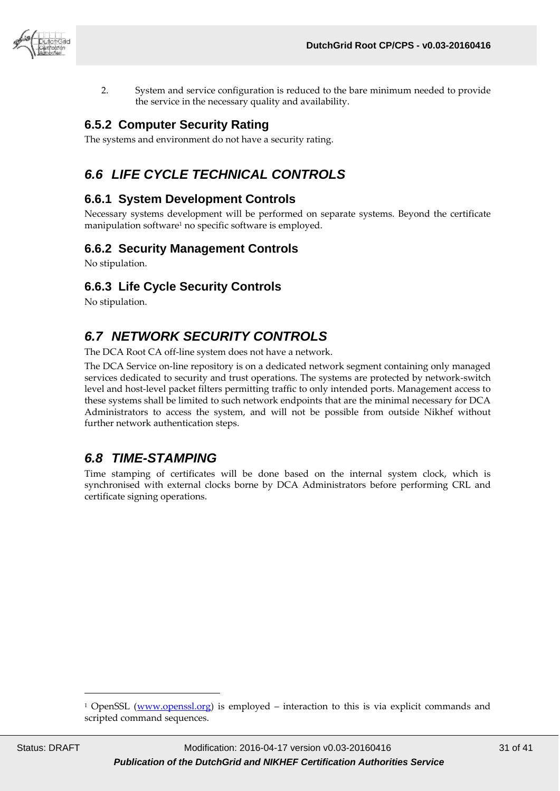

2. System and service configuration is reduced to the bare minimum needed to provide the service in the necessary quality and availability.

#### <span id="page-30-0"></span>**6.5.2 Computer Security Rating**

<span id="page-30-1"></span>The systems and environment do not have a security rating.

# *6.6 LIFE CYCLE TECHNICAL CONTROLS*

#### <span id="page-30-2"></span>**6.6.1 System Development Controls**

Necessary systems development will be performed on separate systems. Beyond the certificate manipulation software<sup>1</sup> no specific software is employed.

#### <span id="page-30-3"></span>**6.6.2 Security Management Controls**

No stipulation.

#### <span id="page-30-4"></span>**6.6.3 Life Cycle Security Controls**

<span id="page-30-5"></span>No stipulation.

# *6.7 NETWORK SECURITY CONTROLS*

The DCA Root CA off-line system does not have a network.

The DCA Service on-line repository is on a dedicated network segment containing only managed services dedicated to security and trust operations. The systems are protected by network-switch level and host-level packet filters permitting traffic to only intended ports. Management access to these systems shall be limited to such network endpoints that are the minimal necessary for DCA Administrators to access the system, and will not be possible from outside Nikhef without further network authentication steps.

# <span id="page-30-6"></span>*6.8 TIME-STAMPING*

Time stamping of certificates will be done based on the internal system clock, which is synchronised with external clocks borne by DCA Administrators before performing CRL and certificate signing operations.

-

<sup>1</sup> OpenSSL [\(www.openssl.org\)](http://www.openssl.org/) is employed – interaction to this is via explicit commands and scripted command sequences.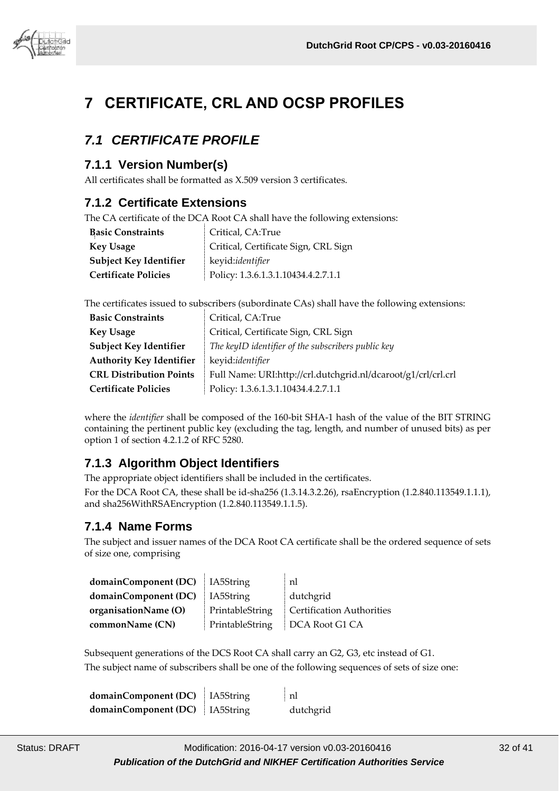

# <span id="page-31-0"></span>**7 CERTIFICATE, CRL AND OCSP PROFILES**

# <span id="page-31-1"></span>*7.1 CERTIFICATE PROFILE*

#### <span id="page-31-2"></span>**7.1.1 Version Number(s)**

All certificates shall be formatted as X.509 version 3 certificates.

#### <span id="page-31-3"></span>**7.1.2 Certificate Extensions**

The CA certificate of the DCA Root CA shall have the following extensions:

| <b>Basic Constraints</b>      | Critical, CA:True                    |
|-------------------------------|--------------------------------------|
| <b>Key Usage</b>              | Critical, Certificate Sign, CRL Sign |
| <b>Subject Key Identifier</b> | keyid:identifier                     |
| <b>Certificate Policies</b>   | Policy: 1.3.6.1.3.1.10434.4.2.7.1.1  |

The certificates issued to subscribers (subordinate CAs) shall have the following extensions:

| <b>Basic Constraints</b>        | Critical, CA:True                                             |
|---------------------------------|---------------------------------------------------------------|
| <b>Key Usage</b>                | Critical, Certificate Sign, CRL Sign                          |
| Subject Key Identifier          | The keyID identifier of the subscribers public key            |
| <b>Authority Key Identifier</b> | keyid:identifier                                              |
| <b>CRL Distribution Points</b>  | Full Name: URI:http://crl.dutchgrid.nl/dcaroot/g1/crl/crl.crl |
| <b>Certificate Policies</b>     | Policy: 1.3.6.1.3.1.10434.4.2.7.1.1                           |

where the *identifier* shall be composed of the 160-bit SHA-1 hash of the value of the BIT STRING containing the pertinent public key (excluding the tag, length, and number of unused bits) as per option 1 of section 4.2.1.2 of RFC 5280.

#### <span id="page-31-4"></span>**7.1.3 Algorithm Object Identifiers**

The appropriate object identifiers shall be included in the certificates.

For the DCA Root CA, these shall be id-sha256 (1.3.14.3.2.26), rsaEncryption (1.2.840.113549.1.1.1), and sha256WithRSAEncryption (1.2.840.113549.1.1.5).

#### <span id="page-31-5"></span>**7.1.4 Name Forms**

The subject and issuer names of the DCA Root CA certificate shall be the ordered sequence of sets of size one, comprising

| <b>domainComponent (DC)</b> IA5String |                 | nl                        |
|---------------------------------------|-----------------|---------------------------|
| domainComponent (DC)                  | 1A5String       | dutchgrid                 |
| organisationName (O)                  | PrintableString | Certification Authorities |
| commonName (CN)                       | PrintableString | DCA Root G1 CA            |

Subsequent generations of the DCS Root CA shall carry an G2, G3, etc instead of G1. The subject name of subscribers shall be one of the following sequences of sets of size one:

| domainComponent (DC)   IA5String | ∣nl       |
|----------------------------------|-----------|
| domainComponent (DC)   IA5String | dutchgrid |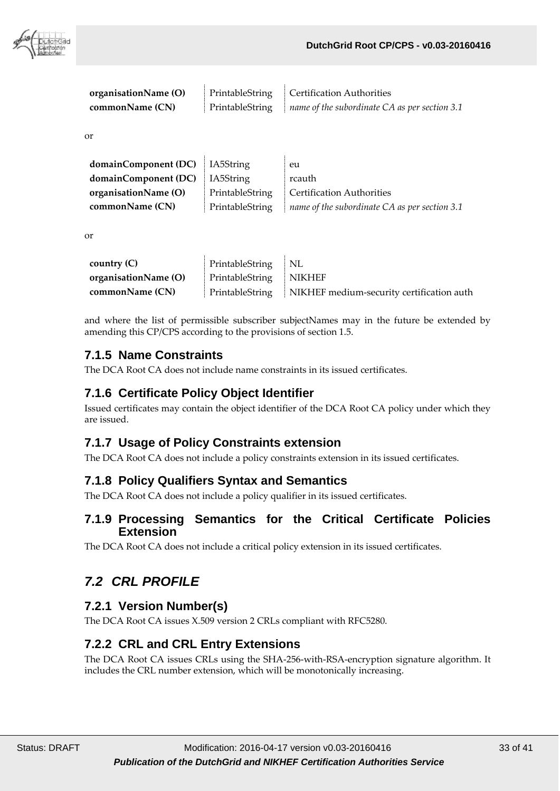

| organisationName (O) | PrintableString   Certification Authorities                                |
|----------------------|----------------------------------------------------------------------------|
| commonName (CN)      | Printable String $\parallel$ name of the subordinate CA as per section 3.1 |

or

| <b>domainComponent (DC)</b> IA5String |                 | eu                                            |
|---------------------------------------|-----------------|-----------------------------------------------|
| <b>domainComponent (DC)</b> IA5String |                 | rcauth                                        |
| organisationName (O)                  | PrintableString | Certification Authorities                     |
| commonName (CN)                       | PrintableString | name of the subordinate CA as per section 3.1 |

or

| country $(C)$        | PrintableString NL     |                                                             |
|----------------------|------------------------|-------------------------------------------------------------|
| organisationName (O) | PrintableString NIKHEF |                                                             |
| commonName (CN)      |                        | PrintableString   NIKHEF medium-security certification auth |

and where the list of permissible subscriber subjectNames may in the future be extended by amending this CP/CPS according to the provisions of section 1.5.

### <span id="page-32-0"></span>**7.1.5 Name Constraints**

The DCA Root CA does not include name constraints in its issued certificates.

#### <span id="page-32-1"></span>**7.1.6 Certificate Policy Object Identifier**

Issued certificates may contain the object identifier of the DCA Root CA policy under which they are issued.

#### <span id="page-32-2"></span>**7.1.7 Usage of Policy Constraints extension**

The DCA Root CA does not include a policy constraints extension in its issued certificates.

#### <span id="page-32-3"></span>**7.1.8 Policy Qualifiers Syntax and Semantics**

<span id="page-32-4"></span>The DCA Root CA does not include a policy qualifier in its issued certificates.

#### **7.1.9 Processing Semantics for the Critical Certificate Policies Extension**

<span id="page-32-5"></span>The DCA Root CA does not include a critical policy extension in its issued certificates.

# *7.2 CRL PROFILE*

#### <span id="page-32-6"></span>**7.2.1 Version Number(s)**

The DCA Root CA issues X.509 version 2 CRLs compliant with RFC5280.

#### <span id="page-32-7"></span>**7.2.2 CRL and CRL Entry Extensions**

The DCA Root CA issues CRLs using the SHA-256-with-RSA-encryption signature algorithm. It includes the CRL number extension, which will be monotonically increasing.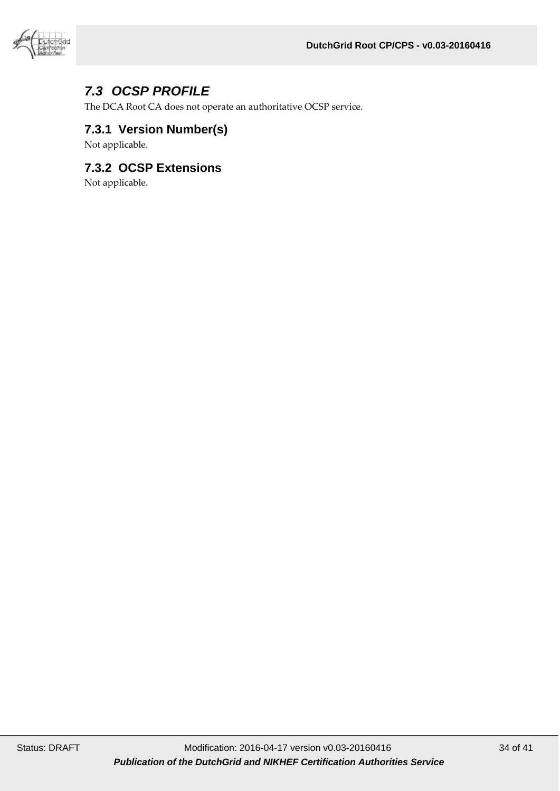

# <span id="page-33-0"></span>*7.3 OCSP PROFILE*

The DCA Root CA does not operate an authoritative OCSP service.

#### <span id="page-33-1"></span>**7.3.1 Version Number(s)**

Not applicable.

#### <span id="page-33-2"></span>**7.3.2 OCSP Extensions**

Not applicable.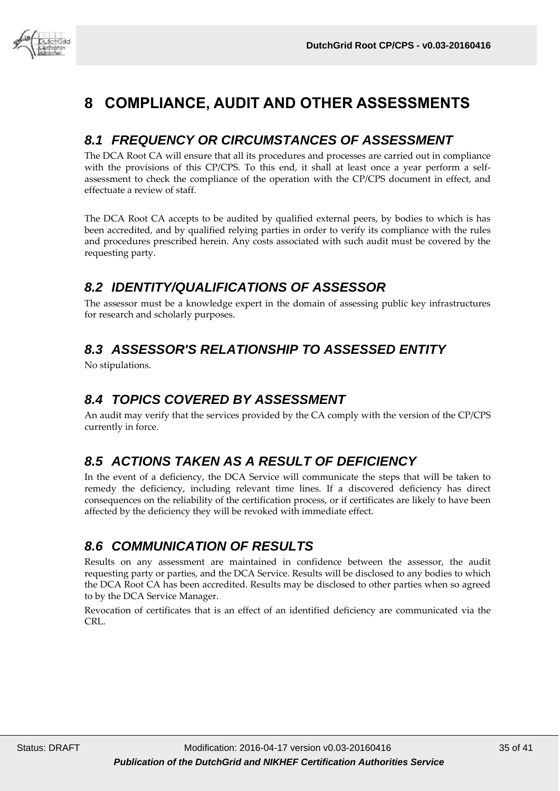

# <span id="page-34-0"></span>**8 COMPLIANCE, AUDIT AND OTHER ASSESSMENTS**

# <span id="page-34-1"></span>*8.1 FREQUENCY OR CIRCUMSTANCES OF ASSESSMENT*

The DCA Root CA will ensure that all its procedures and processes are carried out in compliance with the provisions of this CP/CPS. To this end, it shall at least once a year perform a selfassessment to check the compliance of the operation with the CP/CPS document in effect, and effectuate a review of staff.

The DCA Root CA accepts to be audited by qualified external peers, by bodies to which is has been accredited, and by qualified relying parties in order to verify its compliance with the rules and procedures prescribed herein. Any costs associated with such audit must be covered by the requesting party.

# <span id="page-34-2"></span>*8.2 IDENTITY/QUALIFICATIONS OF ASSESSOR*

The assessor must be a knowledge expert in the domain of assessing public key infrastructures for research and scholarly purposes.

# <span id="page-34-3"></span>*8.3 ASSESSOR'S RELATIONSHIP TO ASSESSED ENTITY*

<span id="page-34-4"></span>No stipulations.

# *8.4 TOPICS COVERED BY ASSESSMENT*

An audit may verify that the services provided by the CA comply with the version of the CP/CPS currently in force.

# <span id="page-34-5"></span>*8.5 ACTIONS TAKEN AS A RESULT OF DEFICIENCY*

In the event of a deficiency, the DCA Service will communicate the steps that will be taken to remedy the deficiency, including relevant time lines. If a discovered deficiency has direct consequences on the reliability of the certification process, or if certificates are likely to have been affected by the deficiency they will be revoked with immediate effect.

# <span id="page-34-6"></span>*8.6 COMMUNICATION OF RESULTS*

Results on any assessment are maintained in confidence between the assessor, the audit requesting party or parties, and the DCA Service. Results will be disclosed to any bodies to which the DCA Root CA has been accredited. Results may be disclosed to other parties when so agreed to by the DCA Service Manager.

Revocation of certificates that is an effect of an identified deficiency are communicated via the CRL.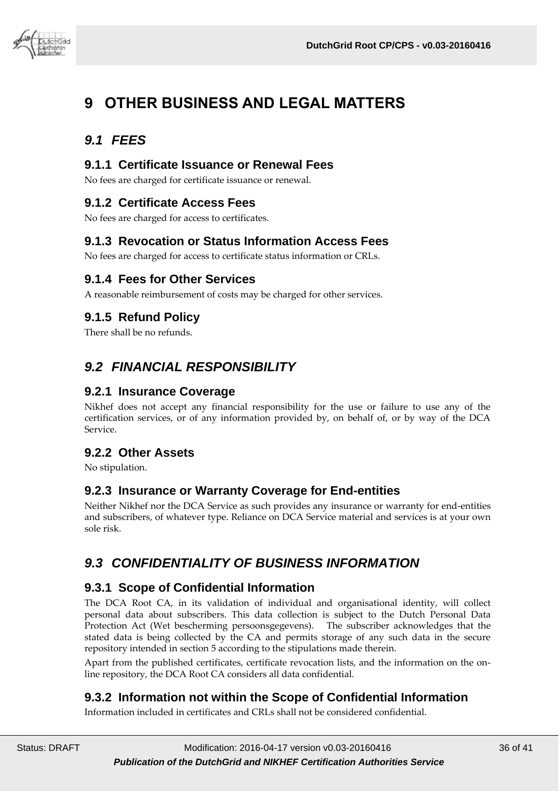

# <span id="page-35-0"></span>**9 OTHER BUSINESS AND LEGAL MATTERS**

# <span id="page-35-1"></span>*9.1 FEES*

#### <span id="page-35-2"></span>**9.1.1 Certificate Issuance or Renewal Fees**

No fees are charged for certificate issuance or renewal.

#### <span id="page-35-3"></span>**9.1.2 Certificate Access Fees**

No fees are charged for access to certificates.

#### <span id="page-35-4"></span>**9.1.3 Revocation or Status Information Access Fees**

No fees are charged for access to certificate status information or CRLs.

#### <span id="page-35-5"></span>**9.1.4 Fees for Other Services**

A reasonable reimbursement of costs may be charged for other services.

### <span id="page-35-6"></span>**9.1.5 Refund Policy**

<span id="page-35-7"></span>There shall be no refunds.

# *9.2 FINANCIAL RESPONSIBILITY*

#### <span id="page-35-8"></span>**9.2.1 Insurance Coverage**

Nikhef does not accept any financial responsibility for the use or failure to use any of the certification services, or of any information provided by, on behalf of, or by way of the DCA Service.

#### <span id="page-35-9"></span>**9.2.2 Other Assets**

<span id="page-35-10"></span>No stipulation.

#### **9.2.3 Insurance or Warranty Coverage for End-entities**

Neither Nikhef nor the DCA Service as such provides any insurance or warranty for end-entities and subscribers, of whatever type. Reliance on DCA Service material and services is at your own sole risk.

# <span id="page-35-11"></span>*9.3 CONFIDENTIALITY OF BUSINESS INFORMATION*

#### <span id="page-35-12"></span>**9.3.1 Scope of Confidential Information**

The DCA Root CA, in its validation of individual and organisational identity, will collect personal data about subscribers. This data collection is subject to the Dutch Personal Data Protection Act (Wet bescherming persoonsgegevens). The subscriber acknowledges that the stated data is being collected by the CA and permits storage of any such data in the secure repository intended in section 5 according to the stipulations made therein.

Apart from the published certificates, certificate revocation lists, and the information on the online repository, the DCA Root CA considers all data confidential.

#### <span id="page-35-13"></span>**9.3.2 Information not within the Scope of Confidential Information**

Information included in certificates and CRLs shall not be considered confidential.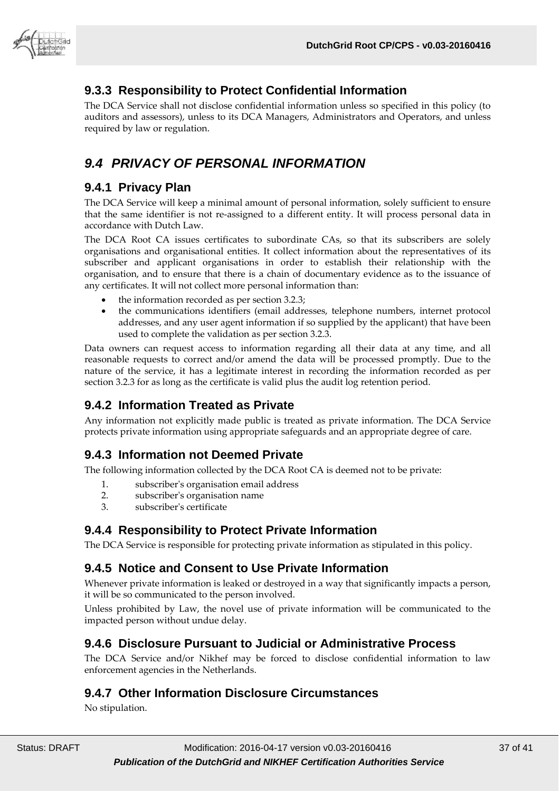

### <span id="page-36-0"></span>**9.3.3 Responsibility to Protect Confidential Information**

The DCA Service shall not disclose confidential information unless so specified in this policy (to auditors and assessors), unless to its DCA Managers, Administrators and Operators, and unless required by law or regulation.

# <span id="page-36-1"></span>*9.4 PRIVACY OF PERSONAL INFORMATION*

#### <span id="page-36-2"></span>**9.4.1 Privacy Plan**

The DCA Service will keep a minimal amount of personal information, solely sufficient to ensure that the same identifier is not re-assigned to a different entity. It will process personal data in accordance with Dutch Law.

The DCA Root CA issues certificates to subordinate CAs, so that its subscribers are solely organisations and organisational entities. It collect information about the representatives of its subscriber and applicant organisations in order to establish their relationship with the organisation, and to ensure that there is a chain of documentary evidence as to the issuance of any certificates. It will not collect more personal information than:

- the information recorded as per section 3.2.3;
- the communications identifiers (email addresses, telephone numbers, internet protocol addresses, and any user agent information if so supplied by the applicant) that have been used to complete the validation as per section 3.2.3.

Data owners can request access to information regarding all their data at any time, and all reasonable requests to correct and/or amend the data will be processed promptly. Due to the nature of the service, it has a legitimate interest in recording the information recorded as per section 3.2.3 for as long as the certificate is valid plus the audit log retention period.

#### <span id="page-36-3"></span>**9.4.2 Information Treated as Private**

Any information not explicitly made public is treated as private information. The DCA Service protects private information using appropriate safeguards and an appropriate degree of care.

# <span id="page-36-4"></span>**9.4.3 Information not Deemed Private**

The following information collected by the DCA Root CA is deemed not to be private:

- 1. subscriber's organisation email address
- 2. subscriber's organisation name
- 3. subscriber's certificate

#### <span id="page-36-5"></span>**9.4.4 Responsibility to Protect Private Information**

The DCA Service is responsible for protecting private information as stipulated in this policy.

#### <span id="page-36-6"></span>**9.4.5 Notice and Consent to Use Private Information**

Whenever private information is leaked or destroyed in a way that significantly impacts a person, it will be so communicated to the person involved.

Unless prohibited by Law, the novel use of private information will be communicated to the impacted person without undue delay.

#### <span id="page-36-7"></span>**9.4.6 Disclosure Pursuant to Judicial or Administrative Process**

The DCA Service and/or Nikhef may be forced to disclose confidential information to law enforcement agencies in the Netherlands.

#### <span id="page-36-8"></span>**9.4.7 Other Information Disclosure Circumstances**

No stipulation.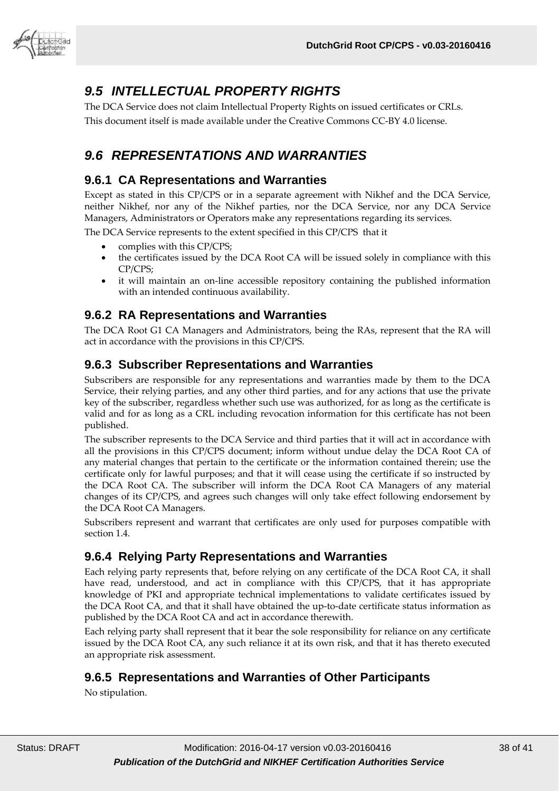

# <span id="page-37-0"></span>*9.5 INTELLECTUAL PROPERTY RIGHTS*

The DCA Service does not claim Intellectual Property Rights on issued certificates or CRLs. This document itself is made available under the Creative Commons CC-BY 4.0 license.

# <span id="page-37-1"></span>*9.6 REPRESENTATIONS AND WARRANTIES*

#### <span id="page-37-2"></span>**9.6.1 CA Representations and Warranties**

Except as stated in this CP/CPS or in a separate agreement with Nikhef and the DCA Service, neither Nikhef, nor any of the Nikhef parties, nor the DCA Service, nor any DCA Service Managers, Administrators or Operators make any representations regarding its services.

The DCA Service represents to the extent specified in this CP/CPS that it

- complies with this CP/CPS;
- the certificates issued by the DCA Root CA will be issued solely in compliance with this CP/CPS;
- it will maintain an on-line accessible repository containing the published information with an intended continuous availability.

#### <span id="page-37-3"></span>**9.6.2 RA Representations and Warranties**

The DCA Root G1 CA Managers and Administrators, being the RAs, represent that the RA will act in accordance with the provisions in this CP/CPS.

#### <span id="page-37-4"></span>**9.6.3 Subscriber Representations and Warranties**

Subscribers are responsible for any representations and warranties made by them to the DCA Service, their relying parties, and any other third parties, and for any actions that use the private key of the subscriber, regardless whether such use was authorized, for as long as the certificate is valid and for as long as a CRL including revocation information for this certificate has not been published.

The subscriber represents to the DCA Service and third parties that it will act in accordance with all the provisions in this CP/CPS document; inform without undue delay the DCA Root CA of any material changes that pertain to the certificate or the information contained therein; use the certificate only for lawful purposes; and that it will cease using the certificate if so instructed by the DCA Root CA. The subscriber will inform the DCA Root CA Managers of any material changes of its CP/CPS, and agrees such changes will only take effect following endorsement by the DCA Root CA Managers.

Subscribers represent and warrant that certificates are only used for purposes compatible with section 1.4.

#### <span id="page-37-5"></span>**9.6.4 Relying Party Representations and Warranties**

Each relying party represents that, before relying on any certificate of the DCA Root CA, it shall have read, understood, and act in compliance with this CP/CPS, that it has appropriate knowledge of PKI and appropriate technical implementations to validate certificates issued by the DCA Root CA, and that it shall have obtained the up-to-date certificate status information as published by the DCA Root CA and act in accordance therewith.

Each relying party shall represent that it bear the sole responsibility for reliance on any certificate issued by the DCA Root CA, any such reliance it at its own risk, and that it has thereto executed an appropriate risk assessment.

#### <span id="page-37-6"></span>**9.6.5 Representations and Warranties of Other Participants**

No stipulation.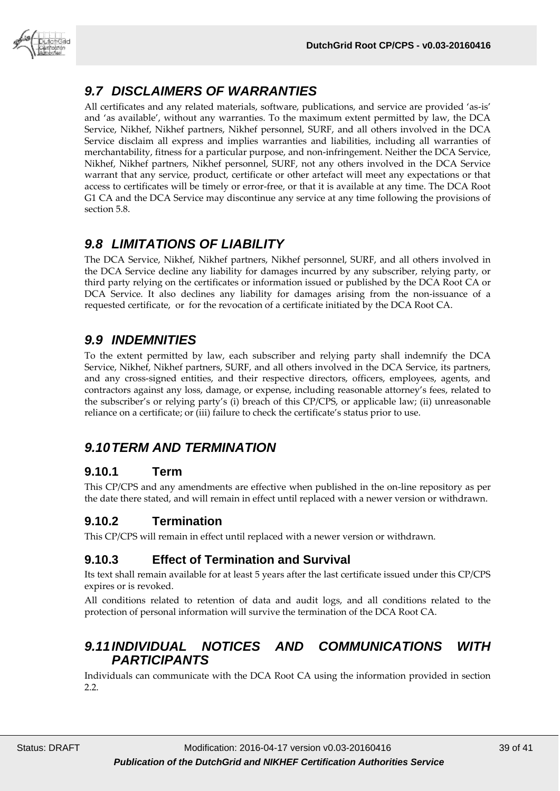

# <span id="page-38-0"></span>*9.7 DISCLAIMERS OF WARRANTIES*

All certificates and any related materials, software, publications, and service are provided 'as-is' and 'as available', without any warranties. To the maximum extent permitted by law, the DCA Service, Nikhef, Nikhef partners, Nikhef personnel, SURF, and all others involved in the DCA Service disclaim all express and implies warranties and liabilities, including all warranties of merchantability, fitness for a particular purpose, and non-infringement. Neither the DCA Service, Nikhef, Nikhef partners, Nikhef personnel, SURF, not any others involved in the DCA Service warrant that any service, product, certificate or other artefact will meet any expectations or that access to certificates will be timely or error-free, or that it is available at any time. The DCA Root G1 CA and the DCA Service may discontinue any service at any time following the provisions of section 5.8.

# <span id="page-38-1"></span>*9.8 LIMITATIONS OF LIABILITY*

The DCA Service, Nikhef, Nikhef partners, Nikhef personnel, SURF, and all others involved in the DCA Service decline any liability for damages incurred by any subscriber, relying party, or third party relying on the certificates or information issued or published by the DCA Root CA or DCA Service. It also declines any liability for damages arising from the non-issuance of a requested certificate, or for the revocation of a certificate initiated by the DCA Root CA.

# <span id="page-38-2"></span>*9.9 INDEMNITIES*

To the extent permitted by law, each subscriber and relying party shall indemnify the DCA Service, Nikhef, Nikhef partners, SURF, and all others involved in the DCA Service, its partners, and any cross-signed entities, and their respective directors, officers, employees, agents, and contractors against any loss, damage, or expense, including reasonable attorney's fees, related to the subscriber's or relying party's (i) breach of this CP/CPS, or applicable law; (ii) unreasonable reliance on a certificate; or (iii) failure to check the certificate's status prior to use.

# <span id="page-38-3"></span>*9.10TERM AND TERMINATION*

#### <span id="page-38-4"></span>**9.10.1 Term**

This CP/CPS and any amendments are effective when published in the on-line repository as per the date there stated, and will remain in effect until replaced with a newer version or withdrawn.

# <span id="page-38-5"></span>**9.10.2 Termination**

This CP/CPS will remain in effect until replaced with a newer version or withdrawn.

#### <span id="page-38-6"></span>**9.10.3 Effect of Termination and Survival**

Its text shall remain available for at least 5 years after the last certificate issued under this CP/CPS expires or is revoked.

All conditions related to retention of data and audit logs, and all conditions related to the protection of personal information will survive the termination of the DCA Root CA.

# <span id="page-38-7"></span>*9.11INDIVIDUAL NOTICES AND COMMUNICATIONS WITH PARTICIPANTS*

Individuals can communicate with the DCA Root CA using the information provided in section 2.2.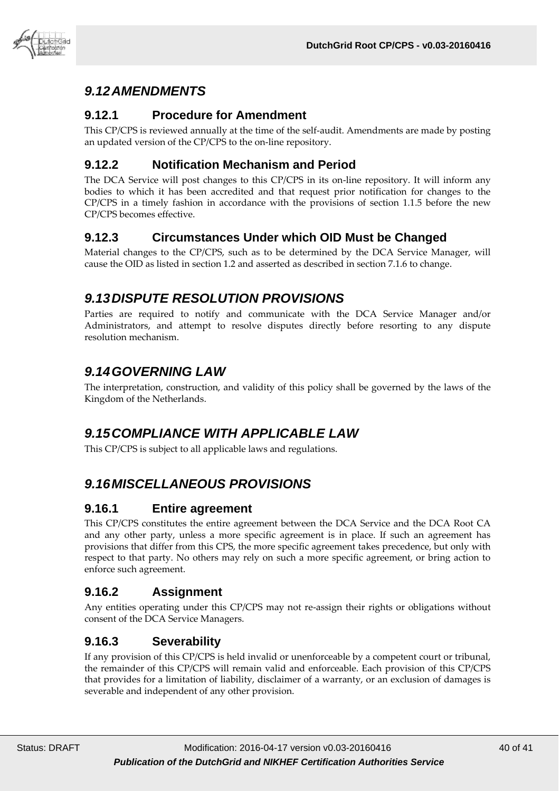

# <span id="page-39-0"></span>*9.12AMENDMENTS*

#### <span id="page-39-1"></span>**9.12.1 Procedure for Amendment**

This CP/CPS is reviewed annually at the time of the self-audit. Amendments are made by posting an updated version of the CP/CPS to the on-line repository.

#### <span id="page-39-2"></span>**9.12.2 Notification Mechanism and Period**

The DCA Service will post changes to this CP/CPS in its on-line repository. It will inform any bodies to which it has been accredited and that request prior notification for changes to the CP/CPS in a timely fashion in accordance with the provisions of section 1.1.5 before the new CP/CPS becomes effective.

#### <span id="page-39-3"></span>**9.12.3 Circumstances Under which OID Must be Changed**

Material changes to the CP/CPS, such as to be determined by the DCA Service Manager, will cause the OID as listed in section 1.2 and asserted as described in section 7.1.6 to change.

### <span id="page-39-4"></span>*9.13DISPUTE RESOLUTION PROVISIONS*

Parties are required to notify and communicate with the DCA Service Manager and/or Administrators, and attempt to resolve disputes directly before resorting to any dispute resolution mechanism.

# <span id="page-39-5"></span>*9.14GOVERNING LAW*

The interpretation, construction, and validity of this policy shall be governed by the laws of the Kingdom of the Netherlands.

# <span id="page-39-6"></span>*9.15COMPLIANCE WITH APPLICABLE LAW*

<span id="page-39-7"></span>This CP/CPS is subject to all applicable laws and regulations.

# *9.16MISCELLANEOUS PROVISIONS*

#### <span id="page-39-8"></span>**9.16.1 Entire agreement**

This CP/CPS constitutes the entire agreement between the DCA Service and the DCA Root CA and any other party, unless a more specific agreement is in place. If such an agreement has provisions that differ from this CPS, the more specific agreement takes precedence, but only with respect to that party. No others may rely on such a more specific agreement, or bring action to enforce such agreement.

#### <span id="page-39-9"></span>**9.16.2 Assignment**

Any entities operating under this CP/CPS may not re-assign their rights or obligations without consent of the DCA Service Managers.

#### <span id="page-39-10"></span>**9.16.3 Severability**

If any provision of this CP/CPS is held invalid or unenforceable by a competent court or tribunal, the remainder of this CP/CPS will remain valid and enforceable. Each provision of this CP/CPS that provides for a limitation of liability, disclaimer of a warranty, or an exclusion of damages is severable and independent of any other provision.